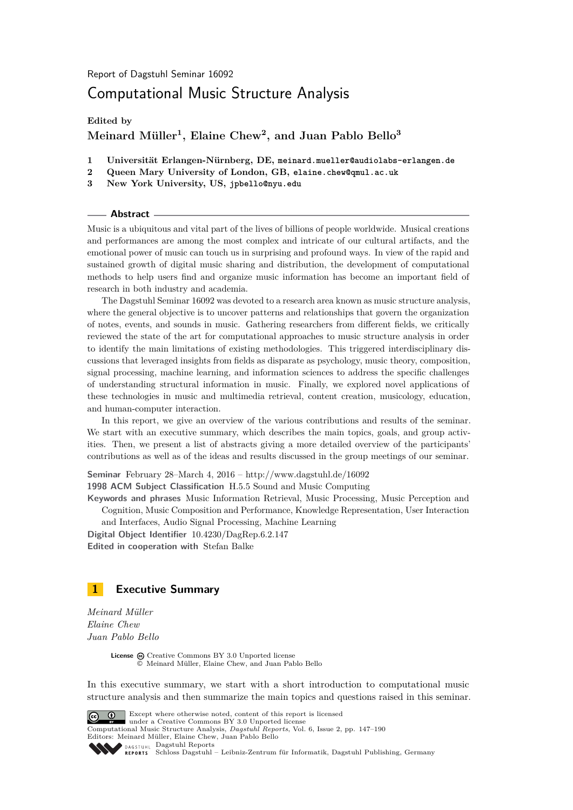Report of Dagstuhl Seminar 16092

# Computational Music Structure Analysis

**Edited by**

# **Meinard Müller<sup>1</sup> , Elaine Chew<sup>2</sup> , and Juan Pablo Bello<sup>3</sup>**

- **1 Universität Erlangen-Nürnberg, DE, meinard.mueller@audiolabs-erlangen.de**
- **2 Queen Mary University of London, GB, elaine.chew@qmul.ac.uk**
- **3 New York University, US, jpbello@nyu.edu**

#### **Abstract**

Music is a ubiquitous and vital part of the lives of billions of people worldwide. Musical creations and performances are among the most complex and intricate of our cultural artifacts, and the emotional power of music can touch us in surprising and profound ways. In view of the rapid and sustained growth of digital music sharing and distribution, the development of computational methods to help users find and organize music information has become an important field of research in both industry and academia.

The Dagstuhl Seminar 16092 was devoted to a research area known as music structure analysis, where the general objective is to uncover patterns and relationships that govern the organization of notes, events, and sounds in music. Gathering researchers from different fields, we critically reviewed the state of the art for computational approaches to music structure analysis in order to identify the main limitations of existing methodologies. This triggered interdisciplinary discussions that leveraged insights from fields as disparate as psychology, music theory, composition, signal processing, machine learning, and information sciences to address the specific challenges of understanding structural information in music. Finally, we explored novel applications of these technologies in music and multimedia retrieval, content creation, musicology, education, and human-computer interaction.

In this report, we give an overview of the various contributions and results of the seminar. We start with an executive summary, which describes the main topics, goals, and group activities. Then, we present a list of abstracts giving a more detailed overview of the participants' contributions as well as of the ideas and results discussed in the group meetings of our seminar.

**Seminar** February 28–March 4, 2016 –<http://www.dagstuhl.de/16092> **1998 ACM Subject Classification** H.5.5 Sound and Music Computing

**Keywords and phrases** Music Information Retrieval, Music Processing, Music Perception and Cognition, Music Composition and Performance, Knowledge Representation, User Interaction

and Interfaces, Audio Signal Processing, Machine Learning **Digital Object Identifier** [10.4230/DagRep.6.2.147](http://dx.doi.org/10.4230/DagRep.6.2.147)

**Edited in cooperation with** Stefan Balke

# <span id="page-0-0"></span>**1 Executive Summary**

*Meinard Müller Elaine Chew Juan Pablo Bello*

> License  $\bigcirc$  [Creative Commons BY 3.0 Unported](http://creativecommons.org/licenses/by/3.0/) license © [Meinard Müller, Elaine Chew, and Juan Pablo Bello](#page-0-0)

In this executive summary, we start with a short introduction to computational music structure analysis and then summarize the main topics and questions raised in this seminar.



Except where otherwise noted, content of this report is licensed under a [Creative Commons BY 3.0 Unported](http://creativecommons.org/licenses/by/3.0/) license Computational Music Structure Analysis, *Dagstuhl Reports*, Vol. 6, Issue 2, pp. 147[–190](#page-43-0) Editors: Meinard Müller, Elaine Chew, Juan Pablo Bello DAGSTUHL [Dagstuhl Reports](http://www.dagstuhl.de/dagstuhl-reports/)

[Schloss Dagstuhl – Leibniz-Zentrum für Informatik, Dagstuhl Publishing, Germany](http://www.dagstuhl.de)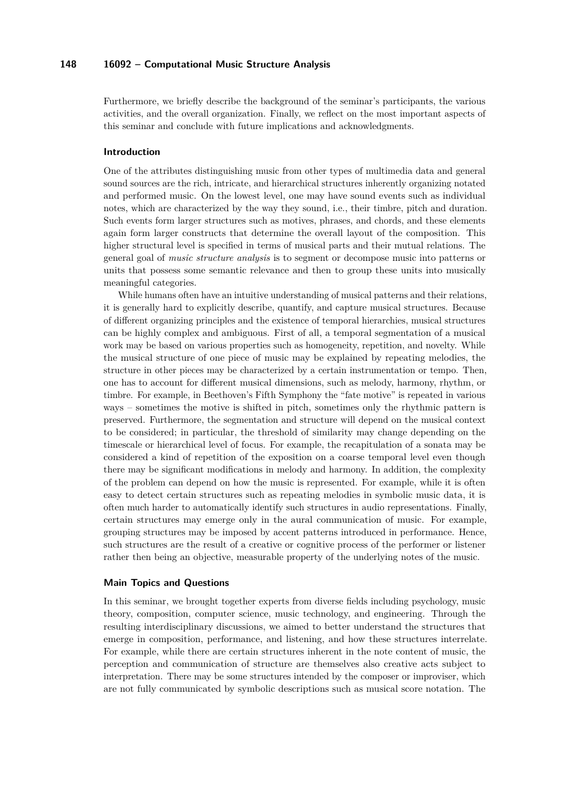Furthermore, we briefly describe the background of the seminar's participants, the various activities, and the overall organization. Finally, we reflect on the most important aspects of this seminar and conclude with future implications and acknowledgments.

### **Introduction**

One of the attributes distinguishing music from other types of multimedia data and general sound sources are the rich, intricate, and hierarchical structures inherently organizing notated and performed music. On the lowest level, one may have sound events such as individual notes, which are characterized by the way they sound, i.e., their timbre, pitch and duration. Such events form larger structures such as motives, phrases, and chords, and these elements again form larger constructs that determine the overall layout of the composition. This higher structural level is specified in terms of musical parts and their mutual relations. The general goal of *music structure analysis* is to segment or decompose music into patterns or units that possess some semantic relevance and then to group these units into musically meaningful categories.

While humans often have an intuitive understanding of musical patterns and their relations, it is generally hard to explicitly describe, quantify, and capture musical structures. Because of different organizing principles and the existence of temporal hierarchies, musical structures can be highly complex and ambiguous. First of all, a temporal segmentation of a musical work may be based on various properties such as homogeneity, repetition, and novelty. While the musical structure of one piece of music may be explained by repeating melodies, the structure in other pieces may be characterized by a certain instrumentation or tempo. Then, one has to account for different musical dimensions, such as melody, harmony, rhythm, or timbre. For example, in Beethoven's Fifth Symphony the "fate motive" is repeated in various ways – sometimes the motive is shifted in pitch, sometimes only the rhythmic pattern is preserved. Furthermore, the segmentation and structure will depend on the musical context to be considered; in particular, the threshold of similarity may change depending on the timescale or hierarchical level of focus. For example, the recapitulation of a sonata may be considered a kind of repetition of the exposition on a coarse temporal level even though there may be significant modifications in melody and harmony. In addition, the complexity of the problem can depend on how the music is represented. For example, while it is often easy to detect certain structures such as repeating melodies in symbolic music data, it is often much harder to automatically identify such structures in audio representations. Finally, certain structures may emerge only in the aural communication of music. For example, grouping structures may be imposed by accent patterns introduced in performance. Hence, such structures are the result of a creative or cognitive process of the performer or listener rather then being an objective, measurable property of the underlying notes of the music.

### **Main Topics and Questions**

In this seminar, we brought together experts from diverse fields including psychology, music theory, composition, computer science, music technology, and engineering. Through the resulting interdisciplinary discussions, we aimed to better understand the structures that emerge in composition, performance, and listening, and how these structures interrelate. For example, while there are certain structures inherent in the note content of music, the perception and communication of structure are themselves also creative acts subject to interpretation. There may be some structures intended by the composer or improviser, which are not fully communicated by symbolic descriptions such as musical score notation. The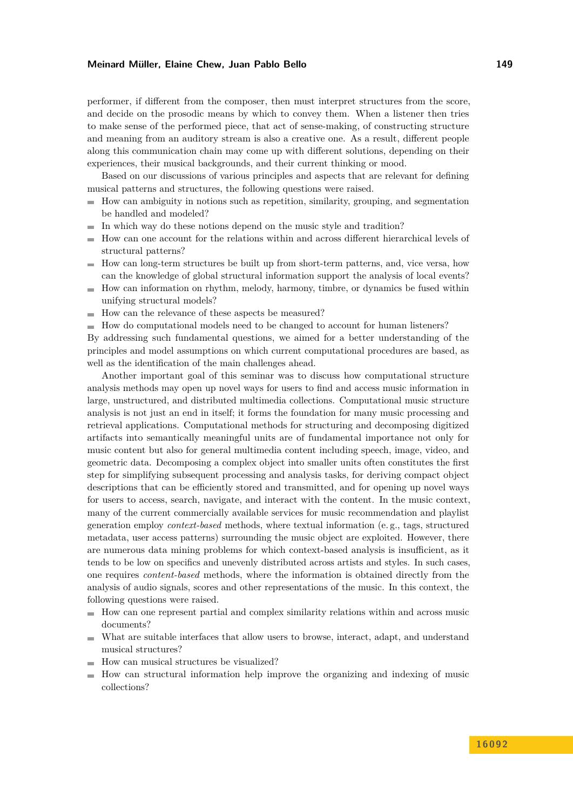performer, if different from the composer, then must interpret structures from the score, and decide on the prosodic means by which to convey them. When a listener then tries to make sense of the performed piece, that act of sense-making, of constructing structure and meaning from an auditory stream is also a creative one. As a result, different people along this communication chain may come up with different solutions, depending on their experiences, their musical backgrounds, and their current thinking or mood.

Based on our discussions of various principles and aspects that are relevant for defining musical patterns and structures, the following questions were raised.

- How can ambiguity in notions such as repetition, similarity, grouping, and segmentation  $\mathbf{r}$ be handled and modeled?
- In which way do these notions depend on the music style and tradition?  $\mathbf{r}$
- How can one account for the relations within and across different hierarchical levels of  $\blacksquare$ structural patterns?
- $\blacksquare$  How can long-term structures be built up from short-term patterns, and, vice versa, how can the knowledge of global structural information support the analysis of local events?
- $\blacksquare$  How can information on rhythm, melody, harmony, timbre, or dynamics be fused within unifying structural models?
- How can the relevance of these aspects be measured?
- $\blacksquare$  How do computational models need to be changed to account for human listeners?

By addressing such fundamental questions, we aimed for a better understanding of the principles and model assumptions on which current computational procedures are based, as well as the identification of the main challenges ahead.

Another important goal of this seminar was to discuss how computational structure analysis methods may open up novel ways for users to find and access music information in large, unstructured, and distributed multimedia collections. Computational music structure analysis is not just an end in itself; it forms the foundation for many music processing and retrieval applications. Computational methods for structuring and decomposing digitized artifacts into semantically meaningful units are of fundamental importance not only for music content but also for general multimedia content including speech, image, video, and geometric data. Decomposing a complex object into smaller units often constitutes the first step for simplifying subsequent processing and analysis tasks, for deriving compact object descriptions that can be efficiently stored and transmitted, and for opening up novel ways for users to access, search, navigate, and interact with the content. In the music context, many of the current commercially available services for music recommendation and playlist generation employ *context-based* methods, where textual information (e. g., tags, structured metadata, user access patterns) surrounding the music object are exploited. However, there are numerous data mining problems for which context-based analysis is insufficient, as it tends to be low on specifics and unevenly distributed across artists and styles. In such cases, one requires *content-based* methods, where the information is obtained directly from the analysis of audio signals, scores and other representations of the music. In this context, the following questions were raised.

- $\blacksquare$  How can one represent partial and complex similarity relations within and across music documents?
- What are suitable interfaces that allow users to browse, interact, adapt, and understand  $\equiv$ musical structures?
- $\blacksquare$  How can musical structures be visualized?
- How can structural information help improve the organizing and indexing of music m. collections?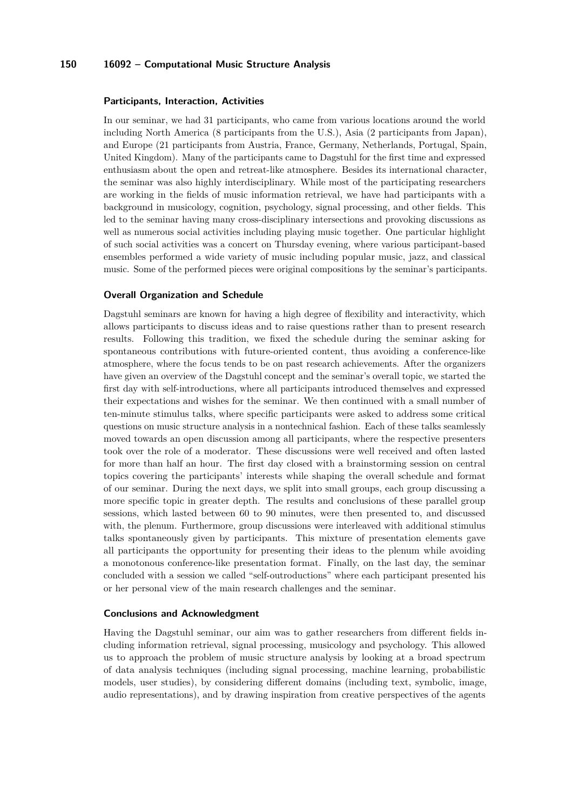#### **Participants, Interaction, Activities**

In our seminar, we had 31 participants, who came from various locations around the world including North America (8 participants from the U.S.), Asia (2 participants from Japan), and Europe (21 participants from Austria, France, Germany, Netherlands, Portugal, Spain, United Kingdom). Many of the participants came to Dagstuhl for the first time and expressed enthusiasm about the open and retreat-like atmosphere. Besides its international character, the seminar was also highly interdisciplinary. While most of the participating researchers are working in the fields of music information retrieval, we have had participants with a background in musicology, cognition, psychology, signal processing, and other fields. This led to the seminar having many cross-disciplinary intersections and provoking discussions as well as numerous social activities including playing music together. One particular highlight of such social activities was a concert on Thursday evening, where various participant-based ensembles performed a wide variety of music including popular music, jazz, and classical music. Some of the performed pieces were original compositions by the seminar's participants.

#### **Overall Organization and Schedule**

Dagstuhl seminars are known for having a high degree of flexibility and interactivity, which allows participants to discuss ideas and to raise questions rather than to present research results. Following this tradition, we fixed the schedule during the seminar asking for spontaneous contributions with future-oriented content, thus avoiding a conference-like atmosphere, where the focus tends to be on past research achievements. After the organizers have given an overview of the Dagstuhl concept and the seminar's overall topic, we started the first day with self-introductions, where all participants introduced themselves and expressed their expectations and wishes for the seminar. We then continued with a small number of ten-minute stimulus talks, where specific participants were asked to address some critical questions on music structure analysis in a nontechnical fashion. Each of these talks seamlessly moved towards an open discussion among all participants, where the respective presenters took over the role of a moderator. These discussions were well received and often lasted for more than half an hour. The first day closed with a brainstorming session on central topics covering the participants' interests while shaping the overall schedule and format of our seminar. During the next days, we split into small groups, each group discussing a more specific topic in greater depth. The results and conclusions of these parallel group sessions, which lasted between 60 to 90 minutes, were then presented to, and discussed with, the plenum. Furthermore, group discussions were interleaved with additional stimulus talks spontaneously given by participants. This mixture of presentation elements gave all participants the opportunity for presenting their ideas to the plenum while avoiding a monotonous conference-like presentation format. Finally, on the last day, the seminar concluded with a session we called "self-outroductions" where each participant presented his or her personal view of the main research challenges and the seminar.

#### **Conclusions and Acknowledgment**

Having the Dagstuhl seminar, our aim was to gather researchers from different fields including information retrieval, signal processing, musicology and psychology. This allowed us to approach the problem of music structure analysis by looking at a broad spectrum of data analysis techniques (including signal processing, machine learning, probabilistic models, user studies), by considering different domains (including text, symbolic, image, audio representations), and by drawing inspiration from creative perspectives of the agents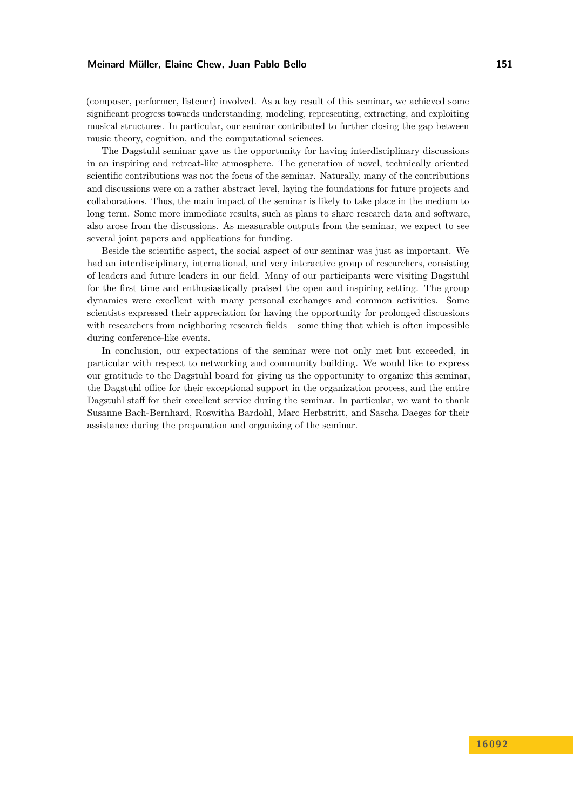(composer, performer, listener) involved. As a key result of this seminar, we achieved some significant progress towards understanding, modeling, representing, extracting, and exploiting musical structures. In particular, our seminar contributed to further closing the gap between music theory, cognition, and the computational sciences.

The Dagstuhl seminar gave us the opportunity for having interdisciplinary discussions in an inspiring and retreat-like atmosphere. The generation of novel, technically oriented scientific contributions was not the focus of the seminar. Naturally, many of the contributions and discussions were on a rather abstract level, laying the foundations for future projects and collaborations. Thus, the main impact of the seminar is likely to take place in the medium to long term. Some more immediate results, such as plans to share research data and software, also arose from the discussions. As measurable outputs from the seminar, we expect to see several joint papers and applications for funding.

Beside the scientific aspect, the social aspect of our seminar was just as important. We had an interdisciplinary, international, and very interactive group of researchers, consisting of leaders and future leaders in our field. Many of our participants were visiting Dagstuhl for the first time and enthusiastically praised the open and inspiring setting. The group dynamics were excellent with many personal exchanges and common activities. Some scientists expressed their appreciation for having the opportunity for prolonged discussions with researchers from neighboring research fields – some thing that which is often impossible during conference-like events.

In conclusion, our expectations of the seminar were not only met but exceeded, in particular with respect to networking and community building. We would like to express our gratitude to the Dagstuhl board for giving us the opportunity to organize this seminar, the Dagstuhl office for their exceptional support in the organization process, and the entire Dagstuhl staff for their excellent service during the seminar. In particular, we want to thank Susanne Bach-Bernhard, Roswitha Bardohl, Marc Herbstritt, and Sascha Daeges for their assistance during the preparation and organizing of the seminar.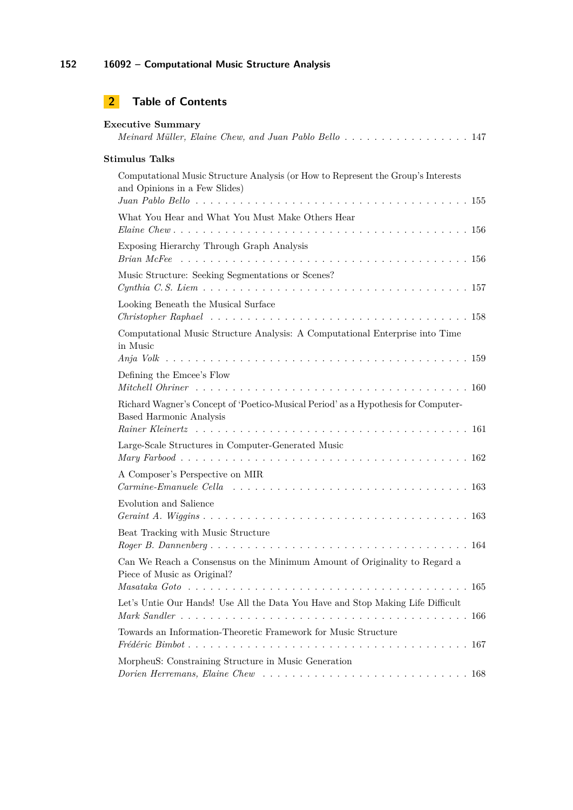# **2 Table of Contents**

| <b>Executive Summary</b><br>Meinard Müller, Elaine Chew, and Juan Pablo Bello  147                                                             |
|------------------------------------------------------------------------------------------------------------------------------------------------|
| <b>Stimulus Talks</b>                                                                                                                          |
| Computational Music Structure Analysis (or How to Represent the Group's Interests<br>and Opinions in a Few Slides)                             |
| What You Hear and What You Must Make Others Hear                                                                                               |
| Exposing Hierarchy Through Graph Analysis                                                                                                      |
| Music Structure: Seeking Segmentations or Scenes?                                                                                              |
| Looking Beneath the Musical Surface                                                                                                            |
| Computational Music Structure Analysis: A Computational Enterprise into Time<br>in Music                                                       |
| Defining the Emcee's Flow                                                                                                                      |
| Richard Wagner's Concept of 'Poetico-Musical Period' as a Hypothesis for Computer-<br><b>Based Harmonic Analysis</b>                           |
| Large-Scale Structures in Computer-Generated Music                                                                                             |
| A Composer's Perspective on MIR<br>$Carmine-Enanuele$ Cella $\ldots \ldots \ldots \ldots \ldots \ldots \ldots \ldots \ldots \ldots \ldots 163$ |
| Evolution and Salience                                                                                                                         |
| Beat Tracking with Music Structure                                                                                                             |
| Can We Reach a Consensus on the Minimum Amount of Originality to Regard a<br>Piece of Music as Original?                                       |
| Let's Untie Our Hands! Use All the Data You Have and Stop Making Life Difficult                                                                |
| Towards an Information-Theoretic Framework for Music Structure                                                                                 |
|                                                                                                                                                |
| MorpheuS: Constraining Structure in Music Generation                                                                                           |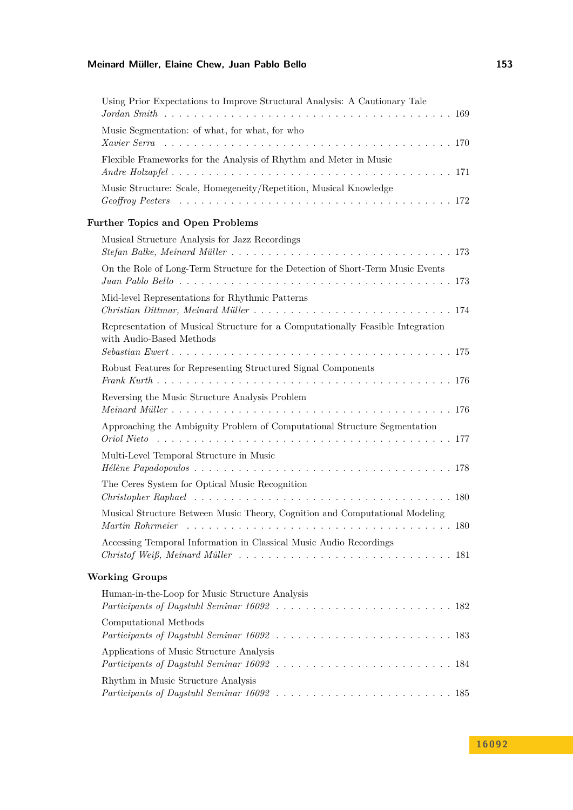| Using Prior Expectations to Improve Structural Analysis: A Cautionary Tale                                 |
|------------------------------------------------------------------------------------------------------------|
| Music Segmentation: of what, for what, for who                                                             |
| Flexible Frameworks for the Analysis of Rhythm and Meter in Music                                          |
| Music Structure: Scale, Homegeneity/Repetition, Musical Knowledge                                          |
| <b>Further Topics and Open Problems</b>                                                                    |
| Musical Structure Analysis for Jazz Recordings                                                             |
| On the Role of Long-Term Structure for the Detection of Short-Term Music Events                            |
| Mid-level Representations for Rhythmic Patterns                                                            |
| Representation of Musical Structure for a Computationally Feasible Integration<br>with Audio-Based Methods |
| Robust Features for Representing Structured Signal Components                                              |
| Reversing the Music Structure Analysis Problem                                                             |
| Approaching the Ambiguity Problem of Computational Structure Segmentation                                  |
| Multi-Level Temporal Structure in Music                                                                    |
| The Ceres System for Optical Music Recognition                                                             |
| Musical Structure Between Music Theory, Cognition and Computational Modeling                               |
| Accessing Temporal Information in Classical Music Audio Recordings                                         |
| <b>Working Groups</b>                                                                                      |
| Human-in-the-Loop for Music Structure Analysis                                                             |
| Computational Methods                                                                                      |
| Applications of Music Structure Analysis                                                                   |
| Rhythm in Music Structure Analysis                                                                         |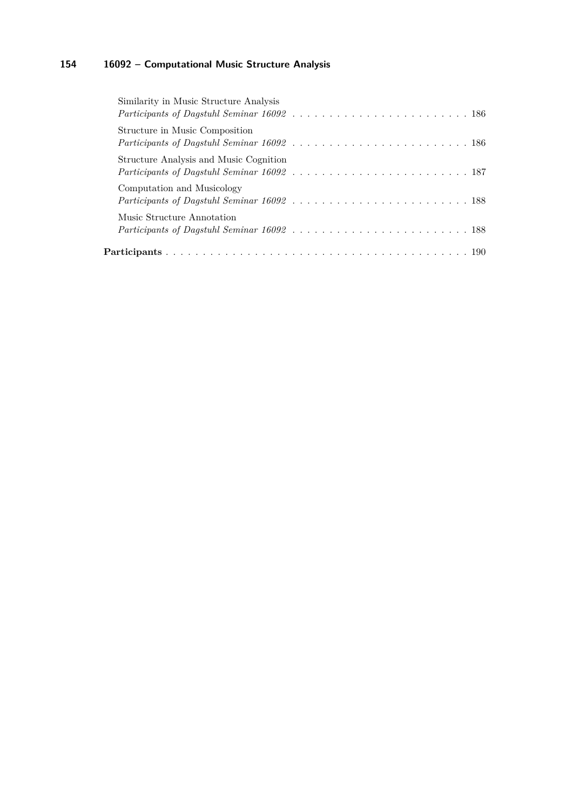| Similarity in Music Structure Analysis |  |
|----------------------------------------|--|
| Structure in Music Composition         |  |
| Structure Analysis and Music Cognition |  |
| Computation and Musicology             |  |
| Music Structure Annotation             |  |
|                                        |  |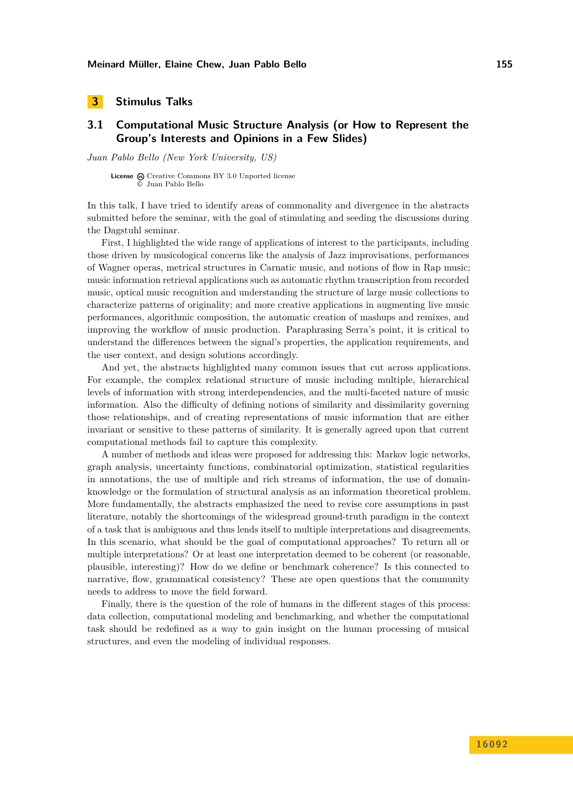# <span id="page-8-0"></span>**3 Stimulus Talks**

# <span id="page-8-1"></span>**3.1 Computational Music Structure Analysis (or How to Represent the Group's Interests and Opinions in a Few Slides)**

*Juan Pablo Bello (New York University, US)*

**License**  $\omega$  [Creative Commons BY 3.0 Unported](http://creativecommons.org/licenses/by/3.0/) license © [Juan Pablo Bello](#page-8-1)

In this talk, I have tried to identify areas of commonality and divergence in the abstracts submitted before the seminar, with the goal of stimulating and seeding the discussions during the Dagstuhl seminar.

First, I highlighted the wide range of applications of interest to the participants, including those driven by musicological concerns like the analysis of Jazz improvisations, performances of Wagner operas, metrical structures in Carnatic music, and notions of flow in Rap music; music information retrieval applications such as automatic rhythm transcription from recorded music, optical music recognition and understanding the structure of large music collections to characterize patterns of originality; and more creative applications in augmenting live music performances, algorithmic composition, the automatic creation of mashups and remixes, and improving the workflow of music production. Paraphrasing Serra's point, it is critical to understand the differences between the signal's properties, the application requirements, and the user context, and design solutions accordingly.

And yet, the abstracts highlighted many common issues that cut across applications. For example, the complex relational structure of music including multiple, hierarchical levels of information with strong interdependencies, and the multi-faceted nature of music information. Also the difficulty of defining notions of similarity and dissimilarity governing those relationships, and of creating representations of music information that are either invariant or sensitive to these patterns of similarity. It is generally agreed upon that current computational methods fail to capture this complexity.

A number of methods and ideas were proposed for addressing this: Markov logic networks, graph analysis, uncertainty functions, combinatorial optimization, statistical regularities in annotations, the use of multiple and rich streams of information, the use of domainknowledge or the formulation of structural analysis as an information theoretical problem. More fundamentally, the abstracts emphasized the need to revise core assumptions in past literature, notably the shortcomings of the widespread ground-truth paradigm in the context of a task that is ambiguous and thus lends itself to multiple interpretations and disagreements. In this scenario, what should be the goal of computational approaches? To return all or multiple interpretations? Or at least one interpretation deemed to be coherent (or reasonable, plausible, interesting)? How do we define or benchmark coherence? Is this connected to narrative, flow, grammatical consistency? These are open questions that the community needs to address to move the field forward.

Finally, there is the question of the role of humans in the different stages of this process: data collection, computational modeling and benchmarking, and whether the computational task should be redefined as a way to gain insight on the human processing of musical structures, and even the modeling of individual responses.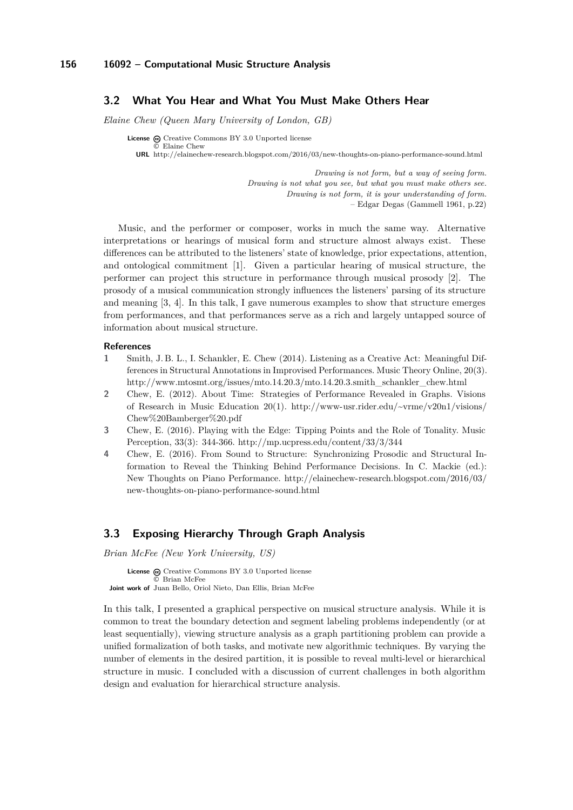### <span id="page-9-0"></span>**3.2 What You Hear and What You Must Make Others Hear**

*Elaine Chew (Queen Mary University of London, GB)*

**License**  $\odot$  [Creative Commons BY 3.0 Unported](http://creativecommons.org/licenses/by/3.0/) license © [Elaine Chew](#page-9-0) **URL** <http://elainechew-research.blogspot.com/2016/03/new-thoughts-on-piano-performance-sound.html>

> *Drawing is not form, but a way of seeing form. Drawing is not what you see, but what you must make others see. Drawing is not form, it is your understanding of form.* – Edgar Degas (Gammell 1961, p.22)

Music, and the performer or composer, works in much the same way. Alternative interpretations or hearings of musical form and structure almost always exist. These differences can be attributed to the listeners' state of knowledge, prior expectations, attention, and ontological commitment [\[1\]](#page-9-2). Given a particular hearing of musical structure, the performer can project this structure in performance through musical prosody [\[2\]](#page-9-3). The prosody of a musical communication strongly influences the listeners' parsing of its structure and meaning [\[3,](#page-9-4) [4\]](#page-9-5). In this talk, I gave numerous examples to show that structure emerges from performances, and that performances serve as a rich and largely untapped source of information about musical structure.

#### <span id="page-9-2"></span>**References**

- **1** Smith, J. B. L., I. Schankler, E. Chew (2014). Listening as a Creative Act: Meaningful Differences in Structural Annotations in Improvised Performances. Music Theory Online, 20(3). [http://www.mtosmt.org/issues/mto.14.20.3/mto.14.20.3.smith\\_schankler\\_chew.html](http://www.mtosmt.org/issues/mto.14.20.3/mto.14.20.3.smith_schankler_chew.html)
- <span id="page-9-3"></span>**2** Chew, E. (2012). About Time: Strategies of Performance Revealed in Graphs. Visions of Research in Music Education 20(1). [http://www-usr.rider.edu/~vrme/v20n1/visions/](http://www-usr.rider.edu/~vrme/v20n1/visions/Chew%20Bamberger%20.pdf) [Chew%20Bamberger%20.pdf](http://www-usr.rider.edu/~vrme/v20n1/visions/Chew%20Bamberger%20.pdf)
- <span id="page-9-4"></span>**3** Chew, E. (2016). Playing with the Edge: Tipping Points and the Role of Tonality. Music Perception, 33(3): 344-366.<http://mp.ucpress.edu/content/33/3/344>
- <span id="page-9-5"></span>**4** Chew, E. (2016). From Sound to Structure: Synchronizing Prosodic and Structural Information to Reveal the Thinking Behind Performance Decisions. In C. Mackie (ed.): New Thoughts on Piano Performance. [http://elainechew-research.blogspot.com/2016/03/](http://elainechew-research.blogspot.com/2016/03/new-thoughts-on-piano-performance-sound.html) [new-thoughts-on-piano-performance-sound.html](http://elainechew-research.blogspot.com/2016/03/new-thoughts-on-piano-performance-sound.html)

### <span id="page-9-1"></span>**3.3 Exposing Hierarchy Through Graph Analysis**

*Brian McFee (New York University, US)*

License  $\textcircled{c}$  [Creative Commons BY 3.0 Unported](http://creativecommons.org/licenses/by/3.0/) license © [Brian McFee](#page-9-1) **Joint work of** Juan Bello, Oriol Nieto, Dan Ellis, Brian McFee

In this talk, I presented a graphical perspective on musical structure analysis. While it is common to treat the boundary detection and segment labeling problems independently (or at least sequentially), viewing structure analysis as a graph partitioning problem can provide a unified formalization of both tasks, and motivate new algorithmic techniques. By varying the number of elements in the desired partition, it is possible to reveal multi-level or hierarchical structure in music. I concluded with a discussion of current challenges in both algorithm design and evaluation for hierarchical structure analysis.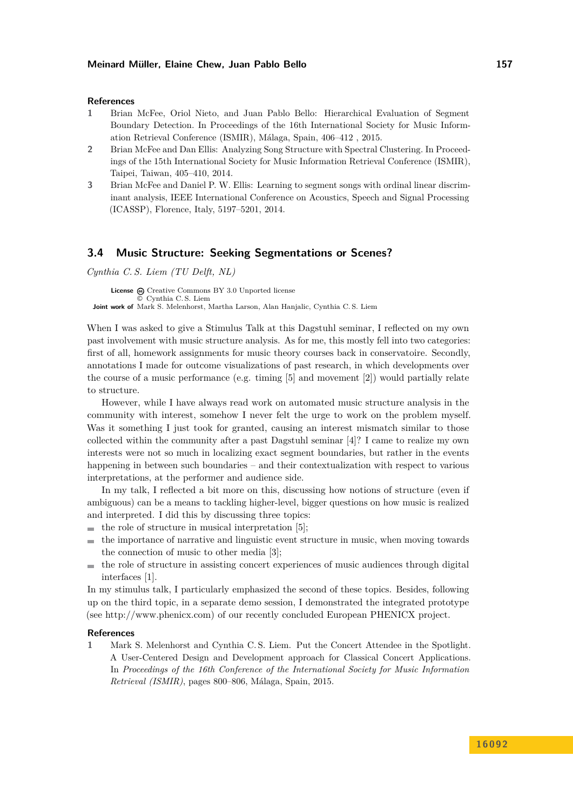#### **References**

- **1** Brian McFee, Oriol Nieto, and Juan Pablo Bello: Hierarchical Evaluation of Segment Boundary Detection. In Proceedings of the 16th International Society for Music Information Retrieval Conference (ISMIR), Málaga, Spain, 406–412 , 2015.
- **2** Brian McFee and Dan Ellis: Analyzing Song Structure with Spectral Clustering. In Proceedings of the 15th International Society for Music Information Retrieval Conference (ISMIR), Taipei, Taiwan, 405–410, 2014.
- **3** Brian McFee and Daniel P. W. Ellis: Learning to segment songs with ordinal linear discriminant analysis, IEEE International Conference on Acoustics, Speech and Signal Processing (ICASSP), Florence, Italy, 5197–5201, 2014.

### <span id="page-10-0"></span>**3.4 Music Structure: Seeking Segmentations or Scenes?**

*Cynthia C. S. Liem (TU Delft, NL)*

License  $\textcircled{c}$  [Creative Commons BY 3.0 Unported](http://creativecommons.org/licenses/by/3.0/) license © [Cynthia C. S. Liem](#page-10-0) **Joint work of** Mark S. Melenhorst, Martha Larson, Alan Hanjalic, Cynthia C. S. Liem

When I was asked to give a Stimulus Talk at this Dagstuhl seminar, I reflected on my own past involvement with music structure analysis. As for me, this mostly fell into two categories: first of all, homework assignments for music theory courses back in conservatoire. Secondly, annotations I made for outcome visualizations of past research, in which developments over the course of a music performance (e.g. timing  $[5]$  and movement  $[2]$ ) would partially relate to structure.

However, while I have always read work on automated music structure analysis in the community with interest, somehow I never felt the urge to work on the problem myself. Was it something I just took for granted, causing an interest mismatch similar to those collected within the community after a past Dagstuhl seminar [\[4\]](#page-11-3)? I came to realize my own interests were not so much in localizing exact segment boundaries, but rather in the events happening in between such boundaries – and their contextualization with respect to various interpretations, at the performer and audience side.

In my talk, I reflected a bit more on this, discussing how notions of structure (even if ambiguous) can be a means to tackling higher-level, bigger questions on how music is realized and interpreted. I did this by discussing three topics:

- $\blacksquare$  the role of structure in musical interpretation [\[5\]](#page-11-1);
- the importance of narrative and linguistic event structure in music, when moving towards  $\mathbf{r}$ the connection of music to other media [\[3\]](#page-11-4);
- the role of structure in assisting concert experiences of music audiences through digital  $\sim$ interfaces [\[1\]](#page-10-1).

In my stimulus talk, I particularly emphasized the second of these topics. Besides, following up on the third topic, in a separate demo session, I demonstrated the integrated prototype (see [http://www.phenicx.com\)](http://www.phenicx.com) of our recently concluded European PHENICX project.

#### **References**

<span id="page-10-1"></span>**1** Mark S. Melenhorst and Cynthia C. S. Liem. Put the Concert Attendee in the Spotlight. A User-Centered Design and Development approach for Classical Concert Applications. In *Proceedings of the 16th Conference of the International Society for Music Information Retrieval (ISMIR)*, pages 800–806, Málaga, Spain, 2015.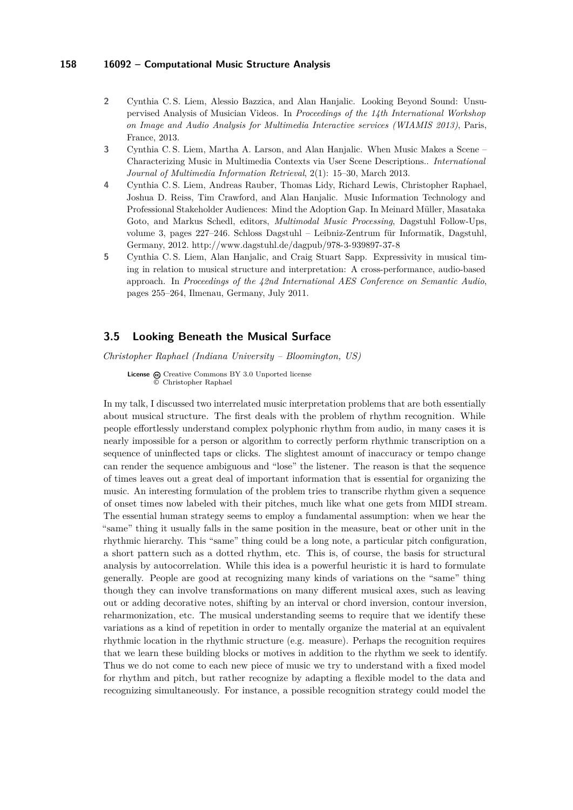- <span id="page-11-2"></span>**2** Cynthia C. S. Liem, Alessio Bazzica, and Alan Hanjalic. Looking Beyond Sound: Unsupervised Analysis of Musician Videos. In *Proceedings of the 14th International Workshop on Image and Audio Analysis for Multimedia Interactive services (WIAMIS 2013)*, Paris, France, 2013.
- <span id="page-11-4"></span>**3** Cynthia C. S. Liem, Martha A. Larson, and Alan Hanjalic. When Music Makes a Scene – Characterizing Music in Multimedia Contexts via User Scene Descriptions.. *International Journal of Multimedia Information Retrieval*, 2(1): 15–30, March 2013.
- <span id="page-11-3"></span>**4** Cynthia C. S. Liem, Andreas Rauber, Thomas Lidy, Richard Lewis, Christopher Raphael, Joshua D. Reiss, Tim Crawford, and Alan Hanjalic. Music Information Technology and Professional Stakeholder Audiences: Mind the Adoption Gap. In Meinard Müller, Masataka Goto, and Markus Schedl, editors, *Multimodal Music Processing*, Dagstuhl Follow-Ups, volume 3, pages 227–246. Schloss Dagstuhl – Leibniz-Zentrum für Informatik, Dagstuhl, Germany, 2012.<http://www.dagstuhl.de/dagpub/978-3-939897-37-8>
- <span id="page-11-1"></span>**5** Cynthia C. S. Liem, Alan Hanjalic, and Craig Stuart Sapp. Expressivity in musical timing in relation to musical structure and interpretation: A cross-performance, audio-based approach. In *Proceedings of the 42nd International AES Conference on Semantic Audio*, pages 255–264, Ilmenau, Germany, July 2011.

### <span id="page-11-0"></span>**3.5 Looking Beneath the Musical Surface**

*Christopher Raphael (Indiana University – Bloomington, US)*

License  $\textcircled{c}$  [Creative Commons BY 3.0 Unported](http://creativecommons.org/licenses/by/3.0/) license © [Christopher Raphael](#page-11-0)

In my talk, I discussed two interrelated music interpretation problems that are both essentially about musical structure. The first deals with the problem of rhythm recognition. While people effortlessly understand complex polyphonic rhythm from audio, in many cases it is nearly impossible for a person or algorithm to correctly perform rhythmic transcription on a sequence of uninflected taps or clicks. The slightest amount of inaccuracy or tempo change can render the sequence ambiguous and "lose" the listener. The reason is that the sequence of times leaves out a great deal of important information that is essential for organizing the music. An interesting formulation of the problem tries to transcribe rhythm given a sequence of onset times now labeled with their pitches, much like what one gets from MIDI stream. The essential human strategy seems to employ a fundamental assumption: when we hear the "same" thing it usually falls in the same position in the measure, beat or other unit in the rhythmic hierarchy. This "same" thing could be a long note, a particular pitch configuration, a short pattern such as a dotted rhythm, etc. This is, of course, the basis for structural analysis by autocorrelation. While this idea is a powerful heuristic it is hard to formulate generally. People are good at recognizing many kinds of variations on the "same" thing though they can involve transformations on many different musical axes, such as leaving out or adding decorative notes, shifting by an interval or chord inversion, contour inversion, reharmonization, etc. The musical understanding seems to require that we identify these variations as a kind of repetition in order to mentally organize the material at an equivalent rhythmic location in the rhythmic structure (e.g. measure). Perhaps the recognition requires that we learn these building blocks or motives in addition to the rhythm we seek to identify. Thus we do not come to each new piece of music we try to understand with a fixed model for rhythm and pitch, but rather recognize by adapting a flexible model to the data and recognizing simultaneously. For instance, a possible recognition strategy could model the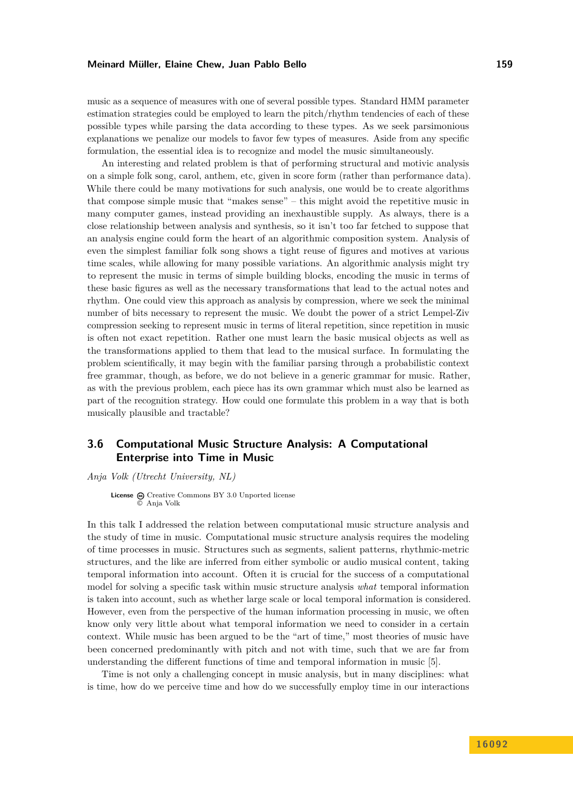music as a sequence of measures with one of several possible types. Standard HMM parameter estimation strategies could be employed to learn the pitch/rhythm tendencies of each of these possible types while parsing the data according to these types. As we seek parsimonious explanations we penalize our models to favor few types of measures. Aside from any specific formulation, the essential idea is to recognize and model the music simultaneously.

An interesting and related problem is that of performing structural and motivic analysis on a simple folk song, carol, anthem, etc, given in score form (rather than performance data). While there could be many motivations for such analysis, one would be to create algorithms that compose simple music that "makes sense" – this might avoid the repetitive music in many computer games, instead providing an inexhaustible supply. As always, there is a close relationship between analysis and synthesis, so it isn't too far fetched to suppose that an analysis engine could form the heart of an algorithmic composition system. Analysis of even the simplest familiar folk song shows a tight reuse of figures and motives at various time scales, while allowing for many possible variations. An algorithmic analysis might try to represent the music in terms of simple building blocks, encoding the music in terms of these basic figures as well as the necessary transformations that lead to the actual notes and rhythm. One could view this approach as analysis by compression, where we seek the minimal number of bits necessary to represent the music. We doubt the power of a strict Lempel-Ziv compression seeking to represent music in terms of literal repetition, since repetition in music is often not exact repetition. Rather one must learn the basic musical objects as well as the transformations applied to them that lead to the musical surface. In formulating the problem scientifically, it may begin with the familiar parsing through a probabilistic context free grammar, though, as before, we do not believe in a generic grammar for music. Rather, as with the previous problem, each piece has its own grammar which must also be learned as part of the recognition strategy. How could one formulate this problem in a way that is both musically plausible and tractable?

# <span id="page-12-0"></span>**3.6 Computational Music Structure Analysis: A Computational Enterprise into Time in Music**

*Anja Volk (Utrecht University, NL)*

License  $\bigcirc$  [Creative Commons BY 3.0 Unported](http://creativecommons.org/licenses/by/3.0/) license © [Anja Volk](#page-12-0)

In this talk I addressed the relation between computational music structure analysis and the study of time in music. Computational music structure analysis requires the modeling of time processes in music. Structures such as segments, salient patterns, rhythmic-metric structures, and the like are inferred from either symbolic or audio musical content, taking temporal information into account. Often it is crucial for the success of a computational model for solving a specific task within music structure analysis *what* temporal information is taken into account, such as whether large scale or local temporal information is considered. However, even from the perspective of the human information processing in music, we often know only very little about what temporal information we need to consider in a certain context. While music has been argued to be the "art of time," most theories of music have been concerned predominantly with pitch and not with time, such that we are far from understanding the different functions of time and temporal information in music [\[5\]](#page-13-1).

Time is not only a challenging concept in music analysis, but in many disciplines: what is time, how do we perceive time and how do we successfully employ time in our interactions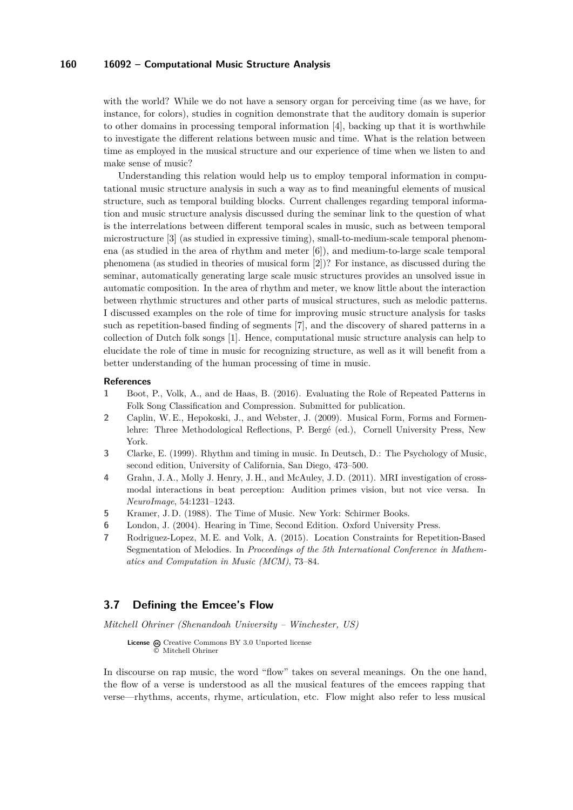with the world? While we do not have a sensory organ for perceiving time (as we have, for instance, for colors), studies in cognition demonstrate that the auditory domain is superior to other domains in processing temporal information [\[4\]](#page-13-2), backing up that it is worthwhile to investigate the different relations between music and time. What is the relation between time as employed in the musical structure and our experience of time when we listen to and make sense of music?

Understanding this relation would help us to employ temporal information in computational music structure analysis in such a way as to find meaningful elements of musical structure, such as temporal building blocks. Current challenges regarding temporal information and music structure analysis discussed during the seminar link to the question of what is the interrelations between different temporal scales in music, such as between temporal microstructure [\[3\]](#page-13-3) (as studied in expressive timing), small-to-medium-scale temporal phenomena (as studied in the area of rhythm and meter [\[6\]](#page-13-4)), and medium-to-large scale temporal phenomena (as studied in theories of musical form [\[2\]](#page-13-5))? For instance, as discussed during the seminar, automatically generating large scale music structures provides an unsolved issue in automatic composition. In the area of rhythm and meter, we know little about the interaction between rhythmic structures and other parts of musical structures, such as melodic patterns. I discussed examples on the role of time for improving music structure analysis for tasks such as repetition-based finding of segments [\[7\]](#page-13-6), and the discovery of shared patterns in a collection of Dutch folk songs [\[1\]](#page-13-7). Hence, computational music structure analysis can help to elucidate the role of time in music for recognizing structure, as well as it will benefit from a better understanding of the human processing of time in music.

#### **References**

- <span id="page-13-7"></span>**1** Boot, P., Volk, A., and de Haas, B. (2016). Evaluating the Role of Repeated Patterns in Folk Song Classification and Compression. Submitted for publication.
- <span id="page-13-5"></span>**2** Caplin, W. E., Hepokoski, J., and Webster, J. (2009). Musical Form, Forms and Formenlehre: Three Methodological Reflections, P. Bergé (ed.), Cornell University Press, New York.
- <span id="page-13-3"></span>**3** Clarke, E. (1999). Rhythm and timing in music. In Deutsch, D.: The Psychology of Music, second edition, University of California, San Diego, 473–500.
- <span id="page-13-2"></span>**4** Grahn, J. A., Molly J. Henry, J. H., and McAuley, J. D. (2011). MRI investigation of crossmodal interactions in beat perception: Audition primes vision, but not vice versa. In *NeuroImage*, 54:1231–1243.
- <span id="page-13-1"></span>**5** Kramer, J. D. (1988). The Time of Music. New York: Schirmer Books.
- <span id="page-13-4"></span>**6** London, J. (2004). Hearing in Time, Second Edition. Oxford University Press.
- <span id="page-13-6"></span>**7** Rodriguez-Lopez, M. E. and Volk, A. (2015). Location Constraints for Repetition-Based Segmentation of Melodies. In *Proceedings of the 5th International Conference in Mathematics and Computation in Music (MCM)*, 73–84.

### <span id="page-13-0"></span>**3.7 Defining the Emcee's Flow**

*Mitchell Ohriner (Shenandoah University – Winchester, US)*

License  $\bigcirc$  [Creative Commons BY 3.0 Unported](http://creativecommons.org/licenses/by/3.0/) license © [Mitchell Ohriner](#page-13-0)

In discourse on rap music, the word "flow" takes on several meanings. On the one hand, the flow of a verse is understood as all the musical features of the emcees rapping that verse—rhythms, accents, rhyme, articulation, etc. Flow might also refer to less musical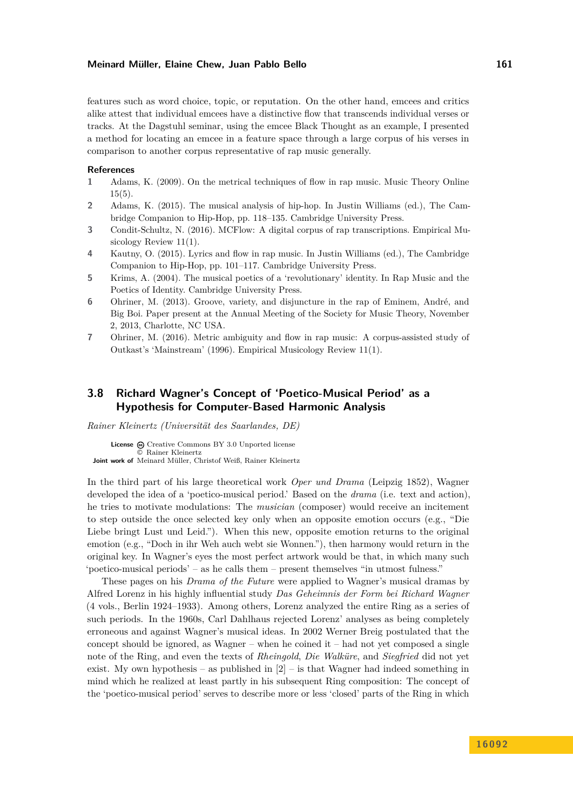features such as word choice, topic, or reputation. On the other hand, emcees and critics alike attest that individual emcees have a distinctive flow that transcends individual verses or tracks. At the Dagstuhl seminar, using the emcee Black Thought as an example, I presented a method for locating an emcee in a feature space through a large corpus of his verses in comparison to another corpus representative of rap music generally.

#### **References**

- **1** Adams, K. (2009). On the metrical techniques of flow in rap music. Music Theory Online 15(5).
- **2** Adams, K. (2015). The musical analysis of hip-hop. In Justin Williams (ed.), The Cambridge Companion to Hip-Hop, pp. 118–135. Cambridge University Press.
- **3** Condit-Schultz, N. (2016). MCFlow: A digital corpus of rap transcriptions. Empirical Musicology Review 11(1).
- **4** Kautny, O. (2015). Lyrics and flow in rap music. In Justin Williams (ed.), The Cambridge Companion to Hip-Hop, pp. 101–117. Cambridge University Press.
- **5** Krims, A. (2004). The musical poetics of a 'revolutionary' identity. In Rap Music and the Poetics of Identity. Cambridge University Press.
- **6** Ohriner, M. (2013). Groove, variety, and disjuncture in the rap of Eminem, André, and Big Boi. Paper present at the Annual Meeting of the Society for Music Theory, November 2, 2013, Charlotte, NC USA.
- **7** Ohriner, M. (2016). Metric ambiguity and flow in rap music: A corpus-assisted study of Outkast's 'Mainstream' (1996). Empirical Musicology Review 11(1).

# <span id="page-14-0"></span>**3.8 Richard Wagner's Concept of 'Poetico-Musical Period' as a Hypothesis for Computer-Based Harmonic Analysis**

*Rainer Kleinertz (Universität des Saarlandes, DE)*

License  $\odot$  [Creative Commons BY 3.0 Unported](http://creativecommons.org/licenses/by/3.0/) license © [Rainer Kleinertz](#page-14-0) **Joint work of** Meinard Müller, Christof Weiß, Rainer Kleinertz

In the third part of his large theoretical work *Oper und Drama* (Leipzig 1852), Wagner developed the idea of a 'poetico-musical period.' Based on the *drama* (i.e. text and action), he tries to motivate modulations: The *musician* (composer) would receive an incitement to step outside the once selected key only when an opposite emotion occurs (e.g., "Die Liebe bringt Lust und Leid."). When this new, opposite emotion returns to the original emotion (e.g., "Doch in ihr Weh auch webt sie Wonnen."), then harmony would return in the original key. In Wagner's eyes the most perfect artwork would be that, in which many such 'poetico-musical periods' – as he calls them – present themselves "in utmost fulness."

These pages on his *Drama of the Future* were applied to Wagner's musical dramas by Alfred Lorenz in his highly influential study *Das Geheimnis der Form bei Richard Wagner* (4 vols., Berlin 1924–1933). Among others, Lorenz analyzed the entire Ring as a series of such periods. In the 1960s, Carl Dahlhaus rejected Lorenz' analyses as being completely erroneous and against Wagner's musical ideas. In 2002 Werner Breig postulated that the concept should be ignored, as Wagner – when he coined it – had not yet composed a single note of the Ring, and even the texts of *Rheingold*, *Die Walküre*, and *Siegfried* did not yet exist. My own hypothesis – as published in  $[2]$  – is that Wagner had indeed something in mind which he realized at least partly in his subsequent Ring composition: The concept of the 'poetico-musical period' serves to describe more or less 'closed' parts of the Ring in which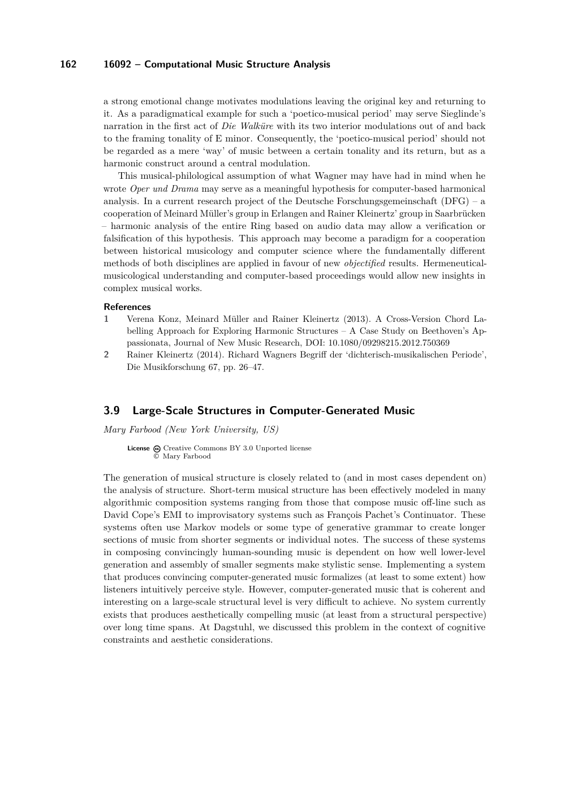a strong emotional change motivates modulations leaving the original key and returning to it. As a paradigmatical example for such a 'poetico-musical period' may serve Sieglinde's narration in the first act of *Die Walküre* with its two interior modulations out of and back to the framing tonality of E minor. Consequently, the 'poetico-musical period' should not be regarded as a mere 'way' of music between a certain tonality and its return, but as a harmonic construct around a central modulation.

This musical-philological assumption of what Wagner may have had in mind when he wrote *Oper und Drama* may serve as a meaningful hypothesis for computer-based harmonical analysis. In a current research project of the Deutsche Forschungsgemeinschaft (DFG) – a cooperation of Meinard Müller's group in Erlangen and Rainer Kleinertz' group in Saarbrücken – harmonic analysis of the entire Ring based on audio data may allow a verification or falsification of this hypothesis. This approach may become a paradigm for a cooperation between historical musicology and computer science where the fundamentally different methods of both disciplines are applied in favour of new *objectified* results. Hermeneuticalmusicological understanding and computer-based proceedings would allow new insights in complex musical works.

#### **References**

- **1** Verena Konz, Meinard Müller and Rainer Kleinertz (2013). A Cross-Version Chord Labelling Approach for Exploring Harmonic Structures – A Case Study on Beethoven's Appassionata, Journal of New Music Research, [DOI: 10.1080/09298215.2012.750369](http://dx.doi.org/10.1080/09298215.2012.750369)
- <span id="page-15-1"></span>**2** Rainer Kleinertz (2014). Richard Wagners Begriff der 'dichterisch-musikalischen Periode', Die Musikforschung 67, pp. 26–47.

### <span id="page-15-0"></span>**3.9 Large-Scale Structures in Computer-Generated Music**

*Mary Farbood (New York University, US)*

License  $\textcircled{e}$  [Creative Commons BY 3.0 Unported](http://creativecommons.org/licenses/by/3.0/) license © [Mary Farbood](#page-15-0)

The generation of musical structure is closely related to (and in most cases dependent on) the analysis of structure. Short-term musical structure has been effectively modeled in many algorithmic composition systems ranging from those that compose music off-line such as David Cope's EMI to improvisatory systems such as François Pachet's Continuator. These systems often use Markov models or some type of generative grammar to create longer sections of music from shorter segments or individual notes. The success of these systems in composing convincingly human-sounding music is dependent on how well lower-level generation and assembly of smaller segments make stylistic sense. Implementing a system that produces convincing computer-generated music formalizes (at least to some extent) how listeners intuitively perceive style. However, computer-generated music that is coherent and interesting on a large-scale structural level is very difficult to achieve. No system currently exists that produces aesthetically compelling music (at least from a structural perspective) over long time spans. At Dagstuhl, we discussed this problem in the context of cognitive constraints and aesthetic considerations.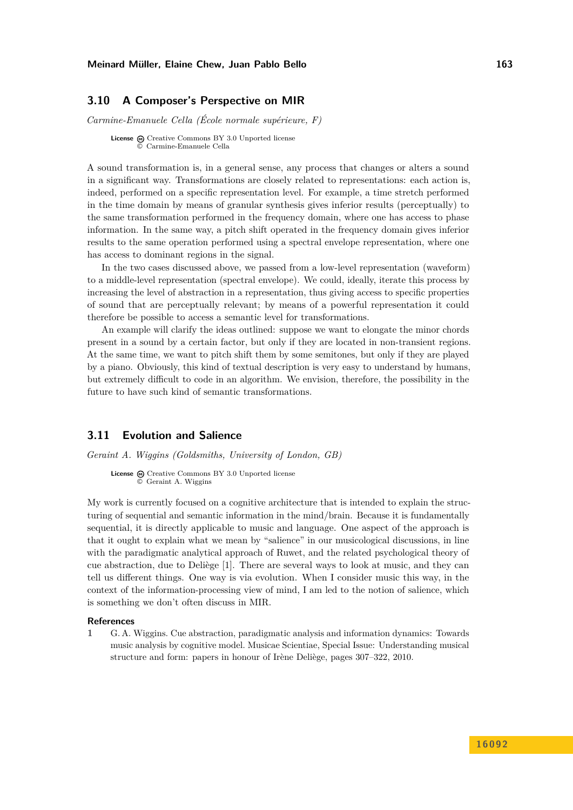### <span id="page-16-0"></span>**3.10 A Composer's Perspective on MIR**

*Carmine-Emanuele Cella (École normale supérieure, F)*

**License**  $\odot$  [Creative Commons BY 3.0 Unported](http://creativecommons.org/licenses/by/3.0/) license © [Carmine-Emanuele Cella](#page-16-0)

A sound transformation is, in a general sense, any process that changes or alters a sound in a significant way. Transformations are closely related to representations: each action is, indeed, performed on a specific representation level. For example, a time stretch performed in the time domain by means of granular synthesis gives inferior results (perceptually) to the same transformation performed in the frequency domain, where one has access to phase information. In the same way, a pitch shift operated in the frequency domain gives inferior results to the same operation performed using a spectral envelope representation, where one has access to dominant regions in the signal.

In the two cases discussed above, we passed from a low-level representation (waveform) to a middle-level representation (spectral envelope). We could, ideally, iterate this process by increasing the level of abstraction in a representation, thus giving access to specific properties of sound that are perceptually relevant; by means of a powerful representation it could therefore be possible to access a semantic level for transformations.

An example will clarify the ideas outlined: suppose we want to elongate the minor chords present in a sound by a certain factor, but only if they are located in non-transient regions. At the same time, we want to pitch shift them by some semitones, but only if they are played by a piano. Obviously, this kind of textual description is very easy to understand by humans, but extremely difficult to code in an algorithm. We envision, therefore, the possibility in the future to have such kind of semantic transformations.

### <span id="page-16-1"></span>**3.11 Evolution and Salience**

*Geraint A. Wiggins (Goldsmiths, University of London, GB)*

**License** @ [Creative Commons BY 3.0 Unported](http://creativecommons.org/licenses/by/3.0/) license © [Geraint A. Wiggins](#page-16-1)

My work is currently focused on a cognitive architecture that is intended to explain the structuring of sequential and semantic information in the mind/brain. Because it is fundamentally sequential, it is directly applicable to music and language. One aspect of the approach is that it ought to explain what we mean by "salience" in our musicological discussions, in line with the paradigmatic analytical approach of Ruwet, and the related psychological theory of cue abstraction, due to Deliège [\[1\]](#page-16-2). There are several ways to look at music, and they can tell us different things. One way is via evolution. When I consider music this way, in the context of the information-processing view of mind, I am led to the notion of salience, which is something we don't often discuss in MIR.

### **References**

<span id="page-16-2"></span>**1** G. A. Wiggins. Cue abstraction, paradigmatic analysis and information dynamics: Towards music analysis by cognitive model. Musicae Scientiae, Special Issue: Understanding musical structure and form: papers in honour of Irène Deliège, pages 307–322, 2010.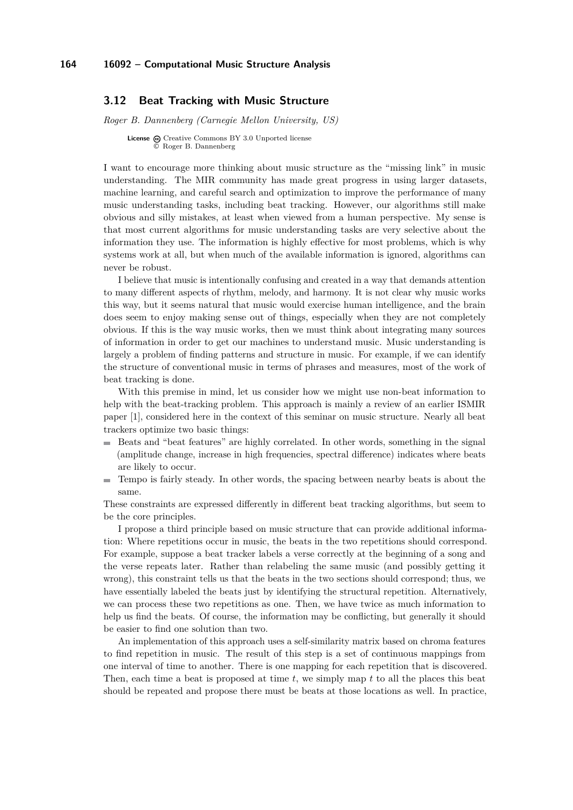### <span id="page-17-0"></span>**3.12 Beat Tracking with Music Structure**

*Roger B. Dannenberg (Carnegie Mellon University, US)*

**License**  $\bigoplus$  [Creative Commons BY 3.0 Unported](http://creativecommons.org/licenses/by/3.0/) license © [Roger B. Dannenberg](#page-17-0)

I want to encourage more thinking about music structure as the "missing link" in music understanding. The MIR community has made great progress in using larger datasets, machine learning, and careful search and optimization to improve the performance of many music understanding tasks, including beat tracking. However, our algorithms still make obvious and silly mistakes, at least when viewed from a human perspective. My sense is that most current algorithms for music understanding tasks are very selective about the information they use. The information is highly effective for most problems, which is why systems work at all, but when much of the available information is ignored, algorithms can never be robust.

I believe that music is intentionally confusing and created in a way that demands attention to many different aspects of rhythm, melody, and harmony. It is not clear why music works this way, but it seems natural that music would exercise human intelligence, and the brain does seem to enjoy making sense out of things, especially when they are not completely obvious. If this is the way music works, then we must think about integrating many sources of information in order to get our machines to understand music. Music understanding is largely a problem of finding patterns and structure in music. For example, if we can identify the structure of conventional music in terms of phrases and measures, most of the work of beat tracking is done.

With this premise in mind, let us consider how we might use non-beat information to help with the beat-tracking problem. This approach is mainly a review of an earlier ISMIR paper [\[1\]](#page-18-1), considered here in the context of this seminar on music structure. Nearly all beat trackers optimize two basic things:

- Beats and "beat features" are highly correlated. In other words, something in the signal (amplitude change, increase in high frequencies, spectral difference) indicates where beats are likely to occur.
- $\blacksquare$ Tempo is fairly steady. In other words, the spacing between nearby beats is about the same.

These constraints are expressed differently in different beat tracking algorithms, but seem to be the core principles.

I propose a third principle based on music structure that can provide additional information: Where repetitions occur in music, the beats in the two repetitions should correspond. For example, suppose a beat tracker labels a verse correctly at the beginning of a song and the verse repeats later. Rather than relabeling the same music (and possibly getting it wrong), this constraint tells us that the beats in the two sections should correspond; thus, we have essentially labeled the beats just by identifying the structural repetition. Alternatively, we can process these two repetitions as one. Then, we have twice as much information to help us find the beats. Of course, the information may be conflicting, but generally it should be easier to find one solution than two.

An implementation of this approach uses a self-similarity matrix based on chroma features to find repetition in music. The result of this step is a set of continuous mappings from one interval of time to another. There is one mapping for each repetition that is discovered. Then, each time a beat is proposed at time *t*, we simply map *t* to all the places this beat should be repeated and propose there must be beats at those locations as well. In practice,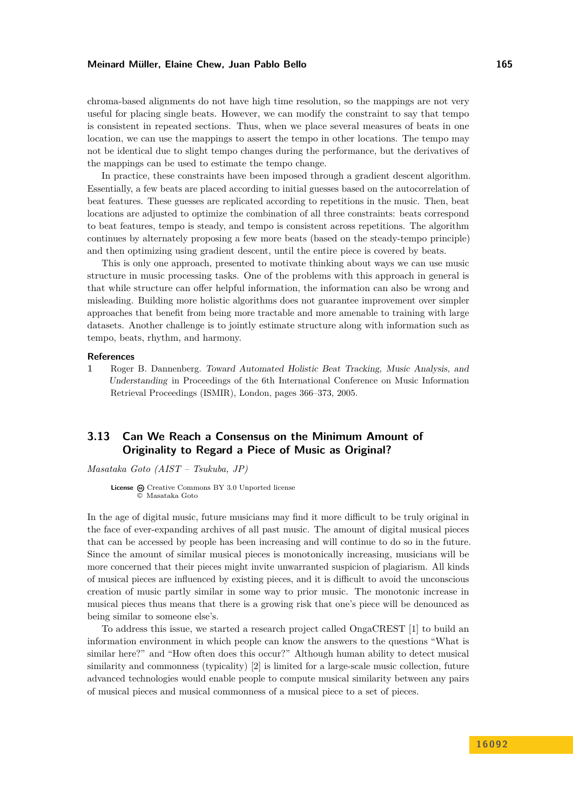chroma-based alignments do not have high time resolution, so the mappings are not very useful for placing single beats. However, we can modify the constraint to say that tempo is consistent in repeated sections. Thus, when we place several measures of beats in one location, we can use the mappings to assert the tempo in other locations. The tempo may not be identical due to slight tempo changes during the performance, but the derivatives of the mappings can be used to estimate the tempo change.

In practice, these constraints have been imposed through a gradient descent algorithm. Essentially, a few beats are placed according to initial guesses based on the autocorrelation of beat features. These guesses are replicated according to repetitions in the music. Then, beat locations are adjusted to optimize the combination of all three constraints: beats correspond to beat features, tempo is steady, and tempo is consistent across repetitions. The algorithm continues by alternately proposing a few more beats (based on the steady-tempo principle) and then optimizing using gradient descent, until the entire piece is covered by beats.

This is only one approach, presented to motivate thinking about ways we can use music structure in music processing tasks. One of the problems with this approach in general is that while structure can offer helpful information, the information can also be wrong and misleading. Building more holistic algorithms does not guarantee improvement over simpler approaches that benefit from being more tractable and more amenable to training with large datasets. Another challenge is to jointly estimate structure along with information such as tempo, beats, rhythm, and harmony.

### **References**

<span id="page-18-1"></span>**1** Roger B. Dannenberg. Toward Automated Holistic Beat Tracking, Music Analysis, and Understanding in Proceedings of the 6th International Conference on Music Information Retrieval Proceedings (ISMIR), London, pages 366–373, 2005.

# <span id="page-18-0"></span>**3.13 Can We Reach a Consensus on the Minimum Amount of Originality to Regard a Piece of Music as Original?**

*Masataka Goto (AIST – Tsukuba, JP)*

License  $\textcircled{c}$  [Creative Commons BY 3.0 Unported](http://creativecommons.org/licenses/by/3.0/) license © [Masataka Goto](#page-18-0)

In the age of digital music, future musicians may find it more difficult to be truly original in the face of ever-expanding archives of all past music. The amount of digital musical pieces that can be accessed by people has been increasing and will continue to do so in the future. Since the amount of similar musical pieces is monotonically increasing, musicians will be more concerned that their pieces might invite unwarranted suspicion of plagiarism. All kinds of musical pieces are influenced by existing pieces, and it is difficult to avoid the unconscious creation of music partly similar in some way to prior music. The monotonic increase in musical pieces thus means that there is a growing risk that one's piece will be denounced as being similar to someone else's.

To address this issue, we started a research project called OngaCREST [\[1\]](#page-19-1) to build an information environment in which people can know the answers to the questions "What is similar here?" and "How often does this occur?" Although human ability to detect musical similarity and commonness (typicality) [\[2\]](#page-19-2) is limited for a large-scale music collection, future advanced technologies would enable people to compute musical similarity between any pairs of musical pieces and musical commonness of a musical piece to a set of pieces.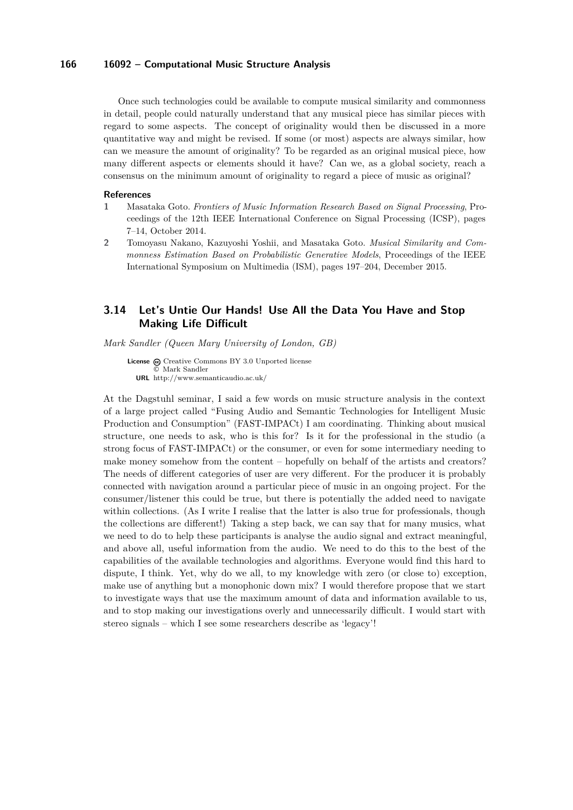Once such technologies could be available to compute musical similarity and commonness in detail, people could naturally understand that any musical piece has similar pieces with regard to some aspects. The concept of originality would then be discussed in a more quantitative way and might be revised. If some (or most) aspects are always similar, how can we measure the amount of originality? To be regarded as an original musical piece, how many different aspects or elements should it have? Can we, as a global society, reach a consensus on the minimum amount of originality to regard a piece of music as original?

### **References**

- <span id="page-19-1"></span>**1** Masataka Goto. *Frontiers of Music Information Research Based on Signal Processing*, Proceedings of the 12th IEEE International Conference on Signal Processing (ICSP), pages 7–14, October 2014.
- <span id="page-19-2"></span>**2** Tomoyasu Nakano, Kazuyoshi Yoshii, and Masataka Goto. *Musical Similarity and Commonness Estimation Based on Probabilistic Generative Models*, Proceedings of the IEEE International Symposium on Multimedia (ISM), pages 197–204, December 2015.

# <span id="page-19-0"></span>**3.14 Let's Untie Our Hands! Use All the Data You Have and Stop Making Life Difficult**

*Mark Sandler (Queen Mary University of London, GB)*

**License**  $\textcircled{c}$  [Creative Commons BY 3.0 Unported](http://creativecommons.org/licenses/by/3.0/) license © [Mark Sandler](#page-19-0) **URL** <http://www.semanticaudio.ac.uk/>

At the Dagstuhl seminar, I said a few words on music structure analysis in the context of a large project called "Fusing Audio and Semantic Technologies for Intelligent Music Production and Consumption" (FAST-IMPACt) I am coordinating. Thinking about musical structure, one needs to ask, who is this for? Is it for the professional in the studio (a strong focus of FAST-IMPACt) or the consumer, or even for some intermediary needing to make money somehow from the content – hopefully on behalf of the artists and creators? The needs of different categories of user are very different. For the producer it is probably connected with navigation around a particular piece of music in an ongoing project. For the consumer/listener this could be true, but there is potentially the added need to navigate within collections. (As I write I realise that the latter is also true for professionals, though the collections are different!) Taking a step back, we can say that for many musics, what we need to do to help these participants is analyse the audio signal and extract meaningful, and above all, useful information from the audio. We need to do this to the best of the capabilities of the available technologies and algorithms. Everyone would find this hard to dispute, I think. Yet, why do we all, to my knowledge with zero (or close to) exception, make use of anything but a monophonic down mix? I would therefore propose that we start to investigate ways that use the maximum amount of data and information available to us, and to stop making our investigations overly and unnecessarily difficult. I would start with stereo signals – which I see some researchers describe as 'legacy'!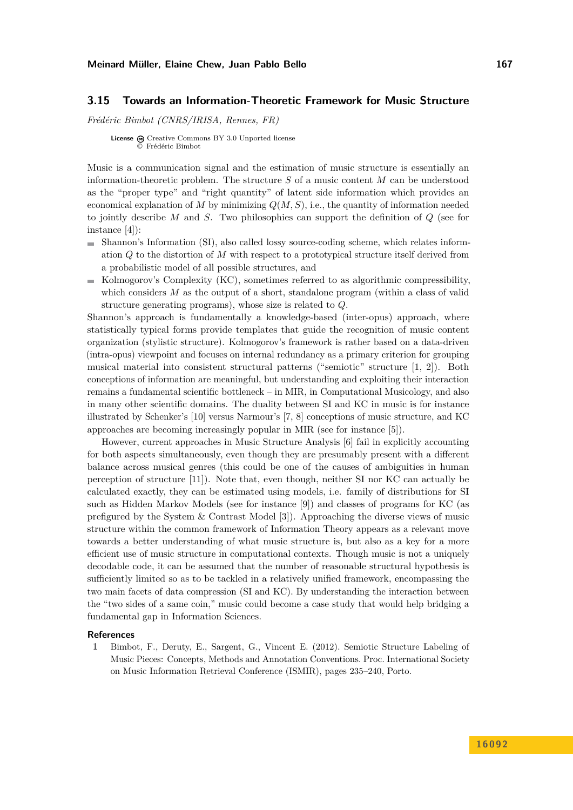### <span id="page-20-0"></span>**3.15 Towards an Information-Theoretic Framework for Music Structure**

*Frédéric Bimbot (CNRS/IRISA, Rennes, FR)*

**License**  $\textcircled{e}$  [Creative Commons BY 3.0 Unported](http://creativecommons.org/licenses/by/3.0/) license © [Frédéric Bimbot](#page-20-0)

Music is a communication signal and the estimation of music structure is essentially an information-theoretic problem. The structure *S* of a music content *M* can be understood as the "proper type" and "right quantity" of latent side information which provides an economical explanation of *M* by minimizing  $Q(M, S)$ , i.e., the quantity of information needed to jointly describe *M* and *S*. Two philosophies can support the definition of *Q* (see for instance [\[4\]](#page-21-1)):

- Shannon's Information (SI), also called lossy source-coding scheme, which relates information *Q* to the distortion of *M* with respect to a prototypical structure itself derived from a probabilistic model of all possible structures, and
- Kolmogorov's Complexity (KC), sometimes referred to as algorithmic compressibility, which considers *M* as the output of a short, standalone program (within a class of valid structure generating programs), whose size is related to *Q*.

Shannon's approach is fundamentally a knowledge-based (inter-opus) approach, where statistically typical forms provide templates that guide the recognition of music content organization (stylistic structure). Kolmogorov's framework is rather based on a data-driven (intra-opus) viewpoint and focuses on internal redundancy as a primary criterion for grouping musical material into consistent structural patterns ("semiotic" structure [\[1,](#page-20-1) [2\]](#page-21-2)). Both conceptions of information are meaningful, but understanding and exploiting their interaction remains a fundamental scientific bottleneck – in MIR, in Computational Musicology, and also in many other scientific domains. The duality between SI and KC in music is for instance illustrated by Schenker's [\[10\]](#page-21-3) versus Narmour's [\[7,](#page-21-4) [8\]](#page-21-5) conceptions of music structure, and KC approaches are becoming increasingly popular in MIR (see for instance [\[5\]](#page-21-6)).

However, current approaches in Music Structure Analysis [\[6\]](#page-21-7) fail in explicitly accounting for both aspects simultaneously, even though they are presumably present with a different balance across musical genres (this could be one of the causes of ambiguities in human perception of structure [\[11\]](#page-21-8)). Note that, even though, neither SI nor KC can actually be calculated exactly, they can be estimated using models, i.e. family of distributions for SI such as Hidden Markov Models (see for instance [\[9\]](#page-21-9)) and classes of programs for KC (as prefigured by the System & Contrast Model [\[3\]](#page-21-10)). Approaching the diverse views of music structure within the common framework of Information Theory appears as a relevant move towards a better understanding of what music structure is, but also as a key for a more efficient use of music structure in computational contexts. Though music is not a uniquely decodable code, it can be assumed that the number of reasonable structural hypothesis is sufficiently limited so as to be tackled in a relatively unified framework, encompassing the two main facets of data compression (SI and KC). By understanding the interaction between the "two sides of a same coin," music could become a case study that would help bridging a fundamental gap in Information Sciences.

### **References**

<span id="page-20-1"></span>**1** Bimbot, F., Deruty, E., Sargent, G., Vincent E. (2012). Semiotic Structure Labeling of Music Pieces: Concepts, Methods and Annotation Conventions. Proc. International Society on Music Information Retrieval Conference (ISMIR), pages 235–240, Porto.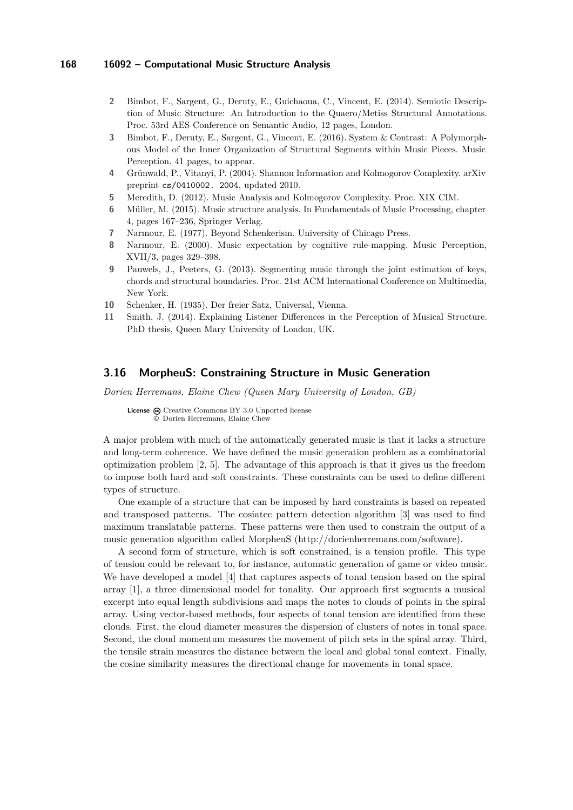- <span id="page-21-2"></span>**2** Bimbot, F., Sargent, G., Deruty, E., Guichaoua, C., Vincent, E. (2014). Semiotic Description of Music Structure: An Introduction to the Quaero/Metiss Structural Annotations. Proc. 53rd AES Conference on Semantic Audio, 12 pages, London.
- <span id="page-21-10"></span>**3** Bimbot, F., Deruty, E., Sargent, G., Vincent, E. (2016). System & Contrast: A Polymorphous Model of the Inner Organization of Structural Segments within Music Pieces. Music Perception. 41 pages, to appear.
- <span id="page-21-1"></span>**4** Grünwald, P., Vitanyi, P. (2004). Shannon Information and Kolmogorov Complexity. arXiv preprint cs/0410002. 2004, updated 2010.
- <span id="page-21-6"></span>**5** Meredith, D. (2012). Music Analysis and Kolmogorov Complexity. Proc. XIX CIM.
- <span id="page-21-7"></span>**6** Müller, M. (2015). Music structure analysis. In Fundamentals of Music Processing, chapter 4, pages 167–236, Springer Verlag.
- <span id="page-21-4"></span>**7** Narmour, E. (1977). Beyond Schenkerism. University of Chicago Press.
- <span id="page-21-5"></span>**8** Narmour, E. (2000). Music expectation by cognitive rule-mapping. Music Perception, XVII/3, pages 329–398.
- <span id="page-21-9"></span>**9** Pauwels, J., Peeters, G. (2013). Segmenting music through the joint estimation of keys, chords and structural boundaries. Proc. 21st ACM International Conference on Multimedia, New York.
- <span id="page-21-3"></span>**10** Schenker, H. (1935). Der freier Satz, Universal, Vienna.
- <span id="page-21-8"></span>**11** Smith, J. (2014). Explaining Listener Differences in the Perception of Musical Structure. PhD thesis, Queen Mary University of London, UK.

# <span id="page-21-0"></span>**3.16 MorpheuS: Constraining Structure in Music Generation**

*Dorien Herremans, Elaine Chew (Queen Mary University of London, GB)*

License  $\textcircled{c}$  [Creative Commons BY 3.0 Unported](http://creativecommons.org/licenses/by/3.0/) license © [Dorien Herremans, Elaine Chew](#page-21-0)

A major problem with much of the automatically generated music is that it lacks a structure and long-term coherence. We have defined the music generation problem as a combinatorial optimization problem [\[2,](#page-22-1) [5\]](#page-22-2). The advantage of this approach is that it gives us the freedom to impose both hard and soft constraints. These constraints can be used to define different types of structure.

One example of a structure that can be imposed by hard constraints is based on repeated and transposed patterns. The cosiatec pattern detection algorithm [\[3\]](#page-22-3) was used to find maximum translatable patterns. These patterns were then used to constrain the output of a music generation algorithm called MorpheuS [\(http://dorienherremans.com/software\)](http://dorienherremans.com/software).

A second form of structure, which is soft constrained, is a tension profile. This type of tension could be relevant to, for instance, automatic generation of game or video music. We have developed a model [\[4\]](#page-22-4) that captures aspects of tonal tension based on the spiral array [\[1\]](#page-22-5), a three dimensional model for tonality. Our approach first segments a musical excerpt into equal length subdivisions and maps the notes to clouds of points in the spiral array. Using vector-based methods, four aspects of tonal tension are identified from these clouds. First, the cloud diameter measures the dispersion of clusters of notes in tonal space. Second, the cloud momentum measures the movement of pitch sets in the spiral array. Third, the tensile strain measures the distance between the local and global tonal context. Finally, the cosine similarity measures the directional change for movements in tonal space.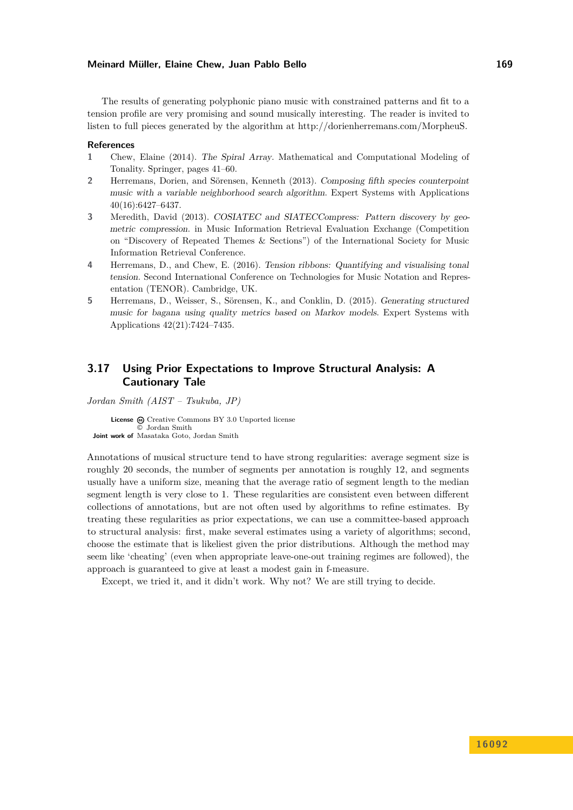The results of generating polyphonic piano music with constrained patterns and fit to a tension profile are very promising and sound musically interesting. The reader is invited to listen to full pieces generated by the algorithm at [http://dorienherremans.com/MorpheuS.](http://dorienherremans.com/MorpheuS)

#### **References**

- <span id="page-22-5"></span>**1** Chew, Elaine (2014). The Spiral Array. Mathematical and Computational Modeling of Tonality. Springer, pages 41–60.
- <span id="page-22-1"></span>**2** Herremans, Dorien, and Sörensen, Kenneth (2013). Composing fifth species counterpoint music with a variable neighborhood search algorithm. Expert Systems with Applications 40(16):6427–6437.
- <span id="page-22-3"></span>**3** Meredith, David (2013). COSIATEC and SIATECCompress: Pattern discovery by geometric compression. in Music Information Retrieval Evaluation Exchange (Competition on "Discovery of Repeated Themes & Sections") of the International Society for Music Information Retrieval Conference.
- <span id="page-22-4"></span>**4** Herremans, D., and Chew, E. (2016). Tension ribbons: Quantifying and visualising tonal tension. Second International Conference on Technologies for Music Notation and Representation (TENOR). Cambridge, UK.
- <span id="page-22-2"></span>**5** Herremans, D., Weisser, S., Sörensen, K., and Conklin, D. (2015). Generating structured music for bagana using quality metrics based on Markov models. Expert Systems with Applications 42(21):7424–7435.

# <span id="page-22-0"></span>**3.17 Using Prior Expectations to Improve Structural Analysis: A Cautionary Tale**

*Jordan Smith (AIST – Tsukuba, JP)*

License  $\odot$  [Creative Commons BY 3.0 Unported](http://creativecommons.org/licenses/by/3.0/) license © [Jordan Smith](#page-22-0) **Joint work of** Masataka Goto, Jordan Smith

Annotations of musical structure tend to have strong regularities: average segment size is roughly 20 seconds, the number of segments per annotation is roughly 12, and segments usually have a uniform size, meaning that the average ratio of segment length to the median segment length is very close to 1. These regularities are consistent even between different collections of annotations, but are not often used by algorithms to refine estimates. By treating these regularities as prior expectations, we can use a committee-based approach to structural analysis: first, make several estimates using a variety of algorithms; second, choose the estimate that is likeliest given the prior distributions. Although the method may seem like 'cheating' (even when appropriate leave-one-out training regimes are followed), the approach is guaranteed to give at least a modest gain in f-measure.

Except, we tried it, and it didn't work. Why not? We are still trying to decide.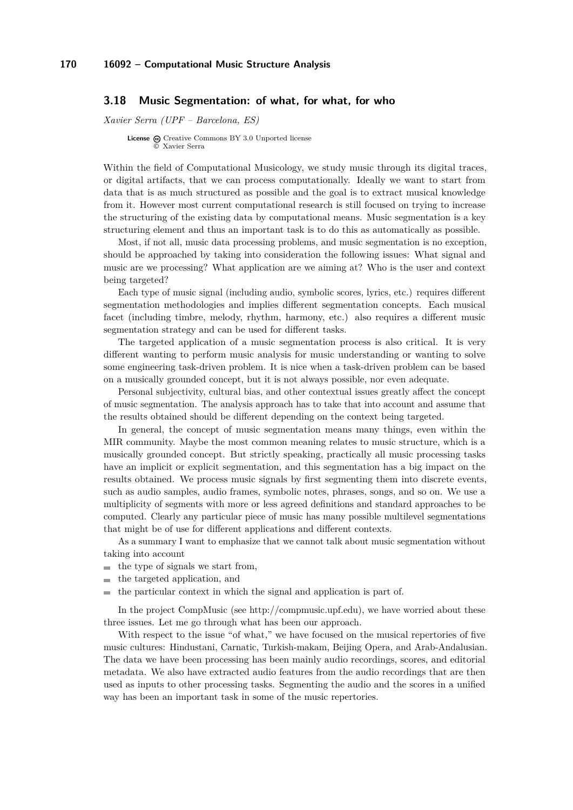### <span id="page-23-0"></span>**3.18 Music Segmentation: of what, for what, for who**

*Xavier Serra (UPF – Barcelona, ES)*

**License**  $\bigoplus$  [Creative Commons BY 3.0 Unported](http://creativecommons.org/licenses/by/3.0/) license © [Xavier Serra](#page-23-0)

Within the field of Computational Musicology, we study music through its digital traces, or digital artifacts, that we can process computationally. Ideally we want to start from data that is as much structured as possible and the goal is to extract musical knowledge from it. However most current computational research is still focused on trying to increase the structuring of the existing data by computational means. Music segmentation is a key structuring element and thus an important task is to do this as automatically as possible.

Most, if not all, music data processing problems, and music segmentation is no exception, should be approached by taking into consideration the following issues: What signal and music are we processing? What application are we aiming at? Who is the user and context being targeted?

Each type of music signal (including audio, symbolic scores, lyrics, etc.) requires different segmentation methodologies and implies different segmentation concepts. Each musical facet (including timbre, melody, rhythm, harmony, etc.) also requires a different music segmentation strategy and can be used for different tasks.

The targeted application of a music segmentation process is also critical. It is very different wanting to perform music analysis for music understanding or wanting to solve some engineering task-driven problem. It is nice when a task-driven problem can be based on a musically grounded concept, but it is not always possible, nor even adequate.

Personal subjectivity, cultural bias, and other contextual issues greatly affect the concept of music segmentation. The analysis approach has to take that into account and assume that the results obtained should be different depending on the context being targeted.

In general, the concept of music segmentation means many things, even within the MIR community. Maybe the most common meaning relates to music structure, which is a musically grounded concept. But strictly speaking, practically all music processing tasks have an implicit or explicit segmentation, and this segmentation has a big impact on the results obtained. We process music signals by first segmenting them into discrete events, such as audio samples, audio frames, symbolic notes, phrases, songs, and so on. We use a multiplicity of segments with more or less agreed definitions and standard approaches to be computed. Clearly any particular piece of music has many possible multilevel segmentations that might be of use for different applications and different contexts.

As a summary I want to emphasize that we cannot talk about music segmentation without taking into account

- $\blacksquare$  the type of signals we start from,
- the targeted application, and  $\sim$
- the particular context in which the signal and application is part of.

In the project CompMusic (see [http://compmusic.upf.edu\)](http://compmusic.upf.edu), we have worried about these three issues. Let me go through what has been our approach.

With respect to the issue "of what," we have focused on the musical repertories of five music cultures: Hindustani, Carnatic, Turkish-makam, Beijing Opera, and Arab-Andalusian. The data we have been processing has been mainly audio recordings, scores, and editorial metadata. We also have extracted audio features from the audio recordings that are then used as inputs to other processing tasks. Segmenting the audio and the scores in a unified way has been an important task in some of the music repertories.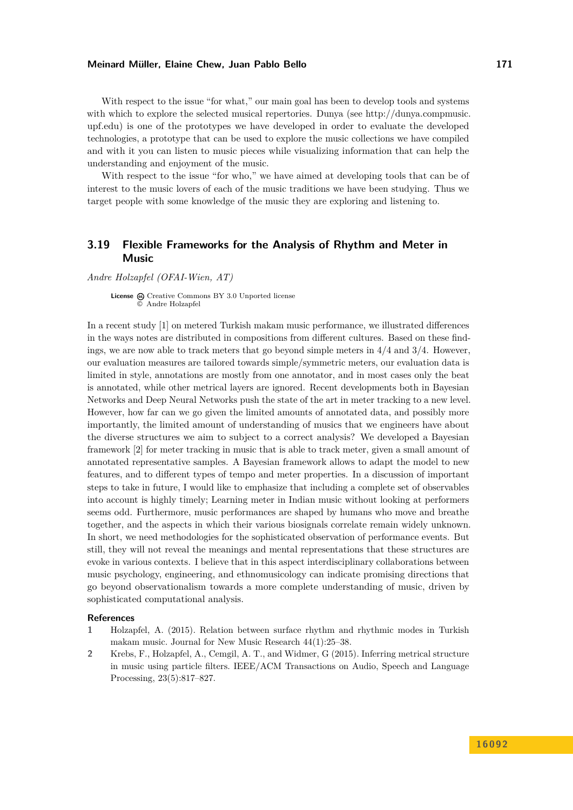With respect to the issue "for what," our main goal has been to develop tools and systems with which to explore the selected musical repertories. Dunya (see [http://dunya.compmusic.](http://dunya.compmusic.upf.edu) [upf.edu\)](http://dunya.compmusic.upf.edu) is one of the prototypes we have developed in order to evaluate the developed technologies, a prototype that can be used to explore the music collections we have compiled and with it you can listen to music pieces while visualizing information that can help the understanding and enjoyment of the music.

With respect to the issue "for who," we have aimed at developing tools that can be of interest to the music lovers of each of the music traditions we have been studying. Thus we target people with some knowledge of the music they are exploring and listening to.

# <span id="page-24-0"></span>**3.19 Flexible Frameworks for the Analysis of Rhythm and Meter in Music**

*Andre Holzapfel (OFAI-Wien, AT)*

License  $\bigcirc$  [Creative Commons BY 3.0 Unported](http://creativecommons.org/licenses/by/3.0/) license © [Andre Holzapfel](#page-24-0)

In a recent study [\[1\]](#page-24-1) on metered Turkish makam music performance, we illustrated differences in the ways notes are distributed in compositions from different cultures. Based on these findings, we are now able to track meters that go beyond simple meters in  $4/4$  and  $3/4$ . However, our evaluation measures are tailored towards simple/symmetric meters, our evaluation data is limited in style, annotations are mostly from one annotator, and in most cases only the beat is annotated, while other metrical layers are ignored. Recent developments both in Bayesian Networks and Deep Neural Networks push the state of the art in meter tracking to a new level. However, how far can we go given the limited amounts of annotated data, and possibly more importantly, the limited amount of understanding of musics that we engineers have about the diverse structures we aim to subject to a correct analysis? We developed a Bayesian framework [\[2\]](#page-24-2) for meter tracking in music that is able to track meter, given a small amount of annotated representative samples. A Bayesian framework allows to adapt the model to new features, and to different types of tempo and meter properties. In a discussion of important steps to take in future, I would like to emphasize that including a complete set of observables into account is highly timely; Learning meter in Indian music without looking at performers seems odd. Furthermore, music performances are shaped by humans who move and breathe together, and the aspects in which their various biosignals correlate remain widely unknown. In short, we need methodologies for the sophisticated observation of performance events. But still, they will not reveal the meanings and mental representations that these structures are evoke in various contexts. I believe that in this aspect interdisciplinary collaborations between music psychology, engineering, and ethnomusicology can indicate promising directions that go beyond observationalism towards a more complete understanding of music, driven by sophisticated computational analysis.

### **References**

- <span id="page-24-1"></span>**1** Holzapfel, A. (2015). Relation between surface rhythm and rhythmic modes in Turkish makam music. Journal for New Music Research 44(1):25–38.
- <span id="page-24-2"></span>**2** Krebs, F., Holzapfel, A., Cemgil, A. T., and Widmer, G (2015). Inferring metrical structure in music using particle filters. IEEE/ACM Transactions on Audio, Speech and Language Processing, 23(5):817–827.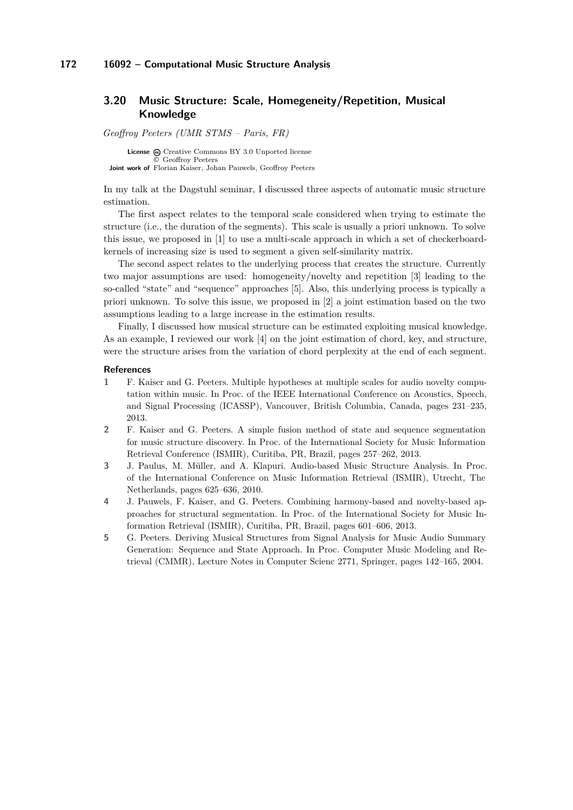# <span id="page-25-0"></span>**3.20 Music Structure: Scale, Homegeneity/Repetition, Musical Knowledge**

*Geoffroy Peeters (UMR STMS – Paris, FR)*

License  $\textcircled{c}$  [Creative Commons BY 3.0 Unported](http://creativecommons.org/licenses/by/3.0/) license © [Geoffroy Peeters](#page-25-0) **Joint work of** Florian Kaiser, Johan Pauwels, Geoffroy Peeters

In my talk at the Dagstuhl seminar, I discussed three aspects of automatic music structure estimation.

The first aspect relates to the temporal scale considered when trying to estimate the structure (i.e., the duration of the segments). This scale is usually a priori unknown. To solve this issue, we proposed in [\[1\]](#page-25-1) to use a multi-scale approach in which a set of checkerboardkernels of increasing size is used to segment a given self-similarity matrix.

The second aspect relates to the underlying process that creates the structure. Currently two major assumptions are used: homogeneity/novelty and repetition [\[3\]](#page-25-2) leading to the so-called "state" and "sequence" approaches [\[5\]](#page-25-3). Also, this underlying process is typically a priori unknown. To solve this issue, we proposed in [\[2\]](#page-25-4) a joint estimation based on the two assumptions leading to a large increase in the estimation results.

Finally, I discussed how musical structure can be estimated exploiting musical knowledge. As an example, I reviewed our work [\[4\]](#page-25-5) on the joint estimation of chord, key, and structure, were the structure arises from the variation of chord perplexity at the end of each segment.

#### **References**

- <span id="page-25-1"></span>**1** F. Kaiser and G. Peeters. Multiple hypotheses at multiple scales for audio novelty computation within music. In Proc. of the IEEE International Conference on Acoustics, Speech, and Signal Processing (ICASSP), Vancouver, British Columbia, Canada, pages 231–235, 2013.
- <span id="page-25-4"></span>**2** F. Kaiser and G. Peeters. A simple fusion method of state and sequence segmentation for music structure discovery. In Proc. of the International Society for Music Information Retrieval Conference (ISMIR), Curitiba, PR, Brazil, pages 257–262, 2013.
- <span id="page-25-2"></span>**3** J. Paulus, M. Müller, and A. Klapuri. Audio-based Music Structure Analysis. In Proc. of the International Conference on Music Information Retrieval (ISMIR), Utrecht, The Netherlands, pages 625–636, 2010.
- <span id="page-25-5"></span>**4** J. Pauwels, F. Kaiser, and G. Peeters. Combining harmony-based and novelty-based approaches for structural segmentation. In Proc. of the International Society for Music Information Retrieval (ISMIR), Curitiba, PR, Brazil, pages 601–606, 2013.
- <span id="page-25-3"></span>**5** G. Peeters. Deriving Musical Structures from Signal Analysis for Music Audio Summary Generation: Sequence and State Approach. In Proc. Computer Music Modeling and Retrieval (CMMR), Lecture Notes in Computer Scienc 2771, Springer, pages 142–165, 2004.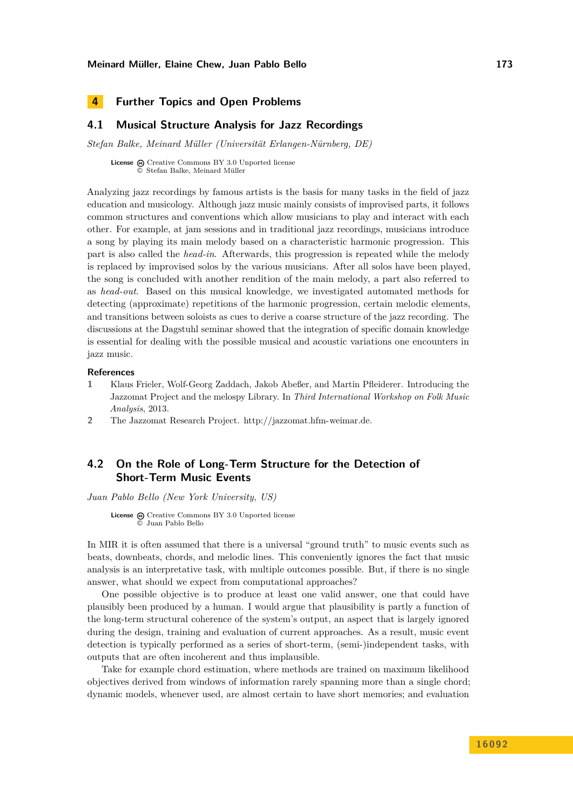# <span id="page-26-0"></span>**4 Further Topics and Open Problems**

## <span id="page-26-1"></span>**4.1 Musical Structure Analysis for Jazz Recordings**

*Stefan Balke, Meinard Müller (Universität Erlangen-Nürnberg, DE)*

License  $\textcircled{c}$  [Creative Commons BY 3.0 Unported](http://creativecommons.org/licenses/by/3.0/) license © [Stefan Balke, Meinard Müller](#page-26-1)

Analyzing jazz recordings by famous artists is the basis for many tasks in the field of jazz education and musicology. Although jazz music mainly consists of improvised parts, it follows common structures and conventions which allow musicians to play and interact with each other. For example, at jam sessions and in traditional jazz recordings, musicians introduce a song by playing its main melody based on a characteristic harmonic progression. This part is also called the *head-in*. Afterwards, this progression is repeated while the melody is replaced by improvised solos by the various musicians. After all solos have been played, the song is concluded with another rendition of the main melody, a part also referred to as *head-out*. Based on this musical knowledge, we investigated automated methods for detecting (approximate) repetitions of the harmonic progression, certain melodic elements, and transitions between soloists as cues to derive a coarse structure of the jazz recording. The discussions at the Dagstuhl seminar showed that the integration of specific domain knowledge is essential for dealing with the possible musical and acoustic variations one encounters in jazz music.

### **References**

- **1** Klaus Frieler, Wolf-Georg Zaddach, Jakob Abeßer, and Martin Pfleiderer. Introducing the Jazzomat Project and the melospy Library. In *Third International Workshop on Folk Music Analysis*, 2013.
- **2** The Jazzomat Research Project. [http://jazzomat.hfm-weimar.de.](http://jazzomat.hfm-weimar.de)

# <span id="page-26-2"></span>**4.2 On the Role of Long-Term Structure for the Detection of Short-Term Music Events**

*Juan Pablo Bello (New York University, US)*

**License**  $\textcircled{e}$  [Creative Commons BY 3.0 Unported](http://creativecommons.org/licenses/by/3.0/) license © [Juan Pablo Bello](#page-26-2)

In MIR it is often assumed that there is a universal "ground truth" to music events such as beats, downbeats, chords, and melodic lines. This conveniently ignores the fact that music analysis is an interpretative task, with multiple outcomes possible. But, if there is no single answer, what should we expect from computational approaches?

One possible objective is to produce at least one valid answer, one that could have plausibly been produced by a human. I would argue that plausibility is partly a function of the long-term structural coherence of the system's output, an aspect that is largely ignored during the design, training and evaluation of current approaches. As a result, music event detection is typically performed as a series of short-term, (semi-)independent tasks, with outputs that are often incoherent and thus implausible.

Take for example chord estimation, where methods are trained on maximum likelihood objectives derived from windows of information rarely spanning more than a single chord; dynamic models, whenever used, are almost certain to have short memories; and evaluation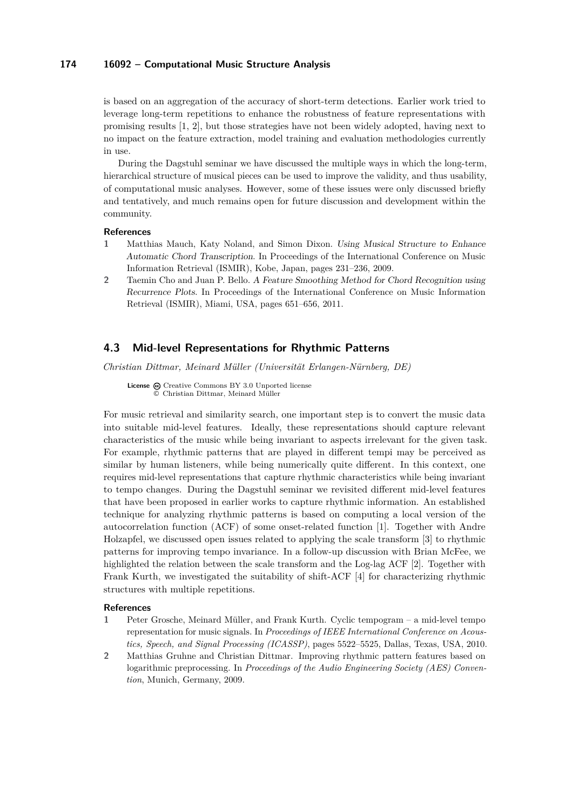is based on an aggregation of the accuracy of short-term detections. Earlier work tried to leverage long-term repetitions to enhance the robustness of feature representations with promising results [\[1,](#page-27-1) [2\]](#page-27-2), but those strategies have not been widely adopted, having next to no impact on the feature extraction, model training and evaluation methodologies currently in use.

During the Dagstuhl seminar we have discussed the multiple ways in which the long-term, hierarchical structure of musical pieces can be used to improve the validity, and thus usability, of computational music analyses. However, some of these issues were only discussed briefly and tentatively, and much remains open for future discussion and development within the community.

#### **References**

- <span id="page-27-1"></span>**1** Matthias Mauch, Katy Noland, and Simon Dixon. Using Musical Structure to Enhance Automatic Chord Transcription. In Proceedings of the International Conference on Music Information Retrieval (ISMIR), Kobe, Japan, pages 231–236, 2009.
- <span id="page-27-2"></span>**2** Taemin Cho and Juan P. Bello. A Feature Smoothing Method for Chord Recognition using Recurrence Plots. In Proceedings of the International Conference on Music Information Retrieval (ISMIR), Miami, USA, pages 651–656, 2011.

### <span id="page-27-0"></span>**4.3 Mid-level Representations for Rhythmic Patterns**

*Christian Dittmar, Meinard Müller (Universität Erlangen-Nürnberg, DE)*

License @ [Creative Commons BY 3.0 Unported](http://creativecommons.org/licenses/by/3.0/) license © [Christian Dittmar, Meinard Müller](#page-27-0)

For music retrieval and similarity search, one important step is to convert the music data into suitable mid-level features. Ideally, these representations should capture relevant characteristics of the music while being invariant to aspects irrelevant for the given task. For example, rhythmic patterns that are played in different tempi may be perceived as similar by human listeners, while being numerically quite different. In this context, one requires mid-level representations that capture rhythmic characteristics while being invariant to tempo changes. During the Dagstuhl seminar we revisited different mid-level features that have been proposed in earlier works to capture rhythmic information. An established technique for analyzing rhythmic patterns is based on computing a local version of the autocorrelation function (ACF) of some onset-related function [\[1\]](#page-27-3). Together with Andre Holzapfel, we discussed open issues related to applying the scale transform [\[3\]](#page-28-1) to rhythmic patterns for improving tempo invariance. In a follow-up discussion with Brian McFee, we highlighted the relation between the scale transform and the Log-lag ACF [\[2\]](#page-27-4). Together with Frank Kurth, we investigated the suitability of shift-ACF [\[4\]](#page-28-2) for characterizing rhythmic structures with multiple repetitions.

### **References**

- <span id="page-27-3"></span>**1** Peter Grosche, Meinard Müller, and Frank Kurth. Cyclic tempogram – a mid-level tempo representation for music signals. In *Proceedings of IEEE International Conference on Acoustics, Speech, and Signal Processing (ICASSP)*, pages 5522–5525, Dallas, Texas, USA, 2010.
- <span id="page-27-4"></span>**2** Matthias Gruhne and Christian Dittmar. Improving rhythmic pattern features based on logarithmic preprocessing. In *Proceedings of the Audio Engineering Society (AES) Convention*, Munich, Germany, 2009.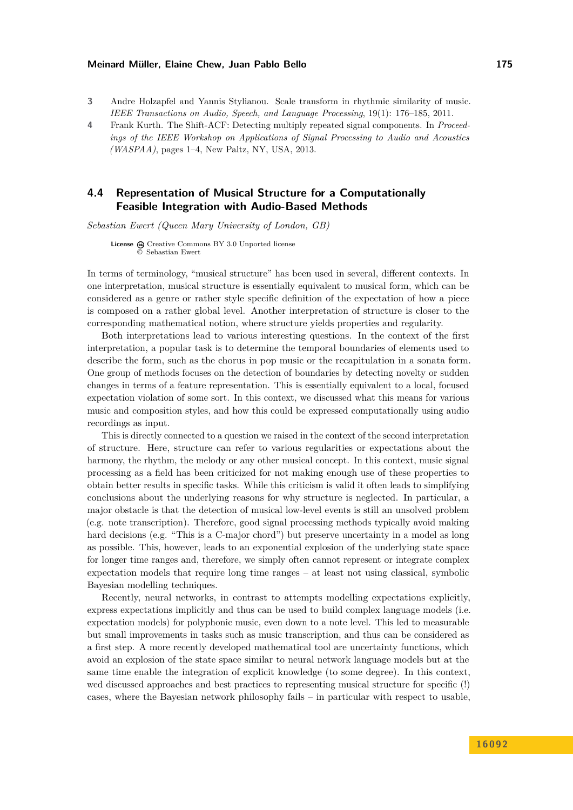- <span id="page-28-1"></span>**3** Andre Holzapfel and Yannis Stylianou. Scale transform in rhythmic similarity of music. *IEEE Transactions on Audio, Speech, and Language Processing*, 19(1): 176–185, 2011.
- <span id="page-28-2"></span>**4** Frank Kurth. The Shift-ACF: Detecting multiply repeated signal components. In *Proceedings of the IEEE Workshop on Applications of Signal Processing to Audio and Acoustics (WASPAA)*, pages 1–4, New Paltz, NY, USA, 2013.

## <span id="page-28-0"></span>**4.4 Representation of Musical Structure for a Computationally Feasible Integration with Audio-Based Methods**

*Sebastian Ewert (Queen Mary University of London, GB)*

License  $\odot$  [Creative Commons BY 3.0 Unported](http://creativecommons.org/licenses/by/3.0/) license © [Sebastian Ewert](#page-28-0)

In terms of terminology, "musical structure" has been used in several, different contexts. In one interpretation, musical structure is essentially equivalent to musical form, which can be considered as a genre or rather style specific definition of the expectation of how a piece is composed on a rather global level. Another interpretation of structure is closer to the corresponding mathematical notion, where structure yields properties and regularity.

Both interpretations lead to various interesting questions. In the context of the first interpretation, a popular task is to determine the temporal boundaries of elements used to describe the form, such as the chorus in pop music or the recapitulation in a sonata form. One group of methods focuses on the detection of boundaries by detecting novelty or sudden changes in terms of a feature representation. This is essentially equivalent to a local, focused expectation violation of some sort. In this context, we discussed what this means for various music and composition styles, and how this could be expressed computationally using audio recordings as input.

This is directly connected to a question we raised in the context of the second interpretation of structure. Here, structure can refer to various regularities or expectations about the harmony, the rhythm, the melody or any other musical concept. In this context, music signal processing as a field has been criticized for not making enough use of these properties to obtain better results in specific tasks. While this criticism is valid it often leads to simplifying conclusions about the underlying reasons for why structure is neglected. In particular, a major obstacle is that the detection of musical low-level events is still an unsolved problem (e.g. note transcription). Therefore, good signal processing methods typically avoid making hard decisions (e.g. "This is a C-major chord") but preserve uncertainty in a model as long as possible. This, however, leads to an exponential explosion of the underlying state space for longer time ranges and, therefore, we simply often cannot represent or integrate complex expectation models that require long time ranges – at least not using classical, symbolic Bayesian modelling techniques.

Recently, neural networks, in contrast to attempts modelling expectations explicitly, express expectations implicitly and thus can be used to build complex language models (i.e. expectation models) for polyphonic music, even down to a note level. This led to measurable but small improvements in tasks such as music transcription, and thus can be considered as a first step. A more recently developed mathematical tool are uncertainty functions, which avoid an explosion of the state space similar to neural network language models but at the same time enable the integration of explicit knowledge (to some degree). In this context, wed discussed approaches and best practices to representing musical structure for specific (!) cases, where the Bayesian network philosophy fails – in particular with respect to usable,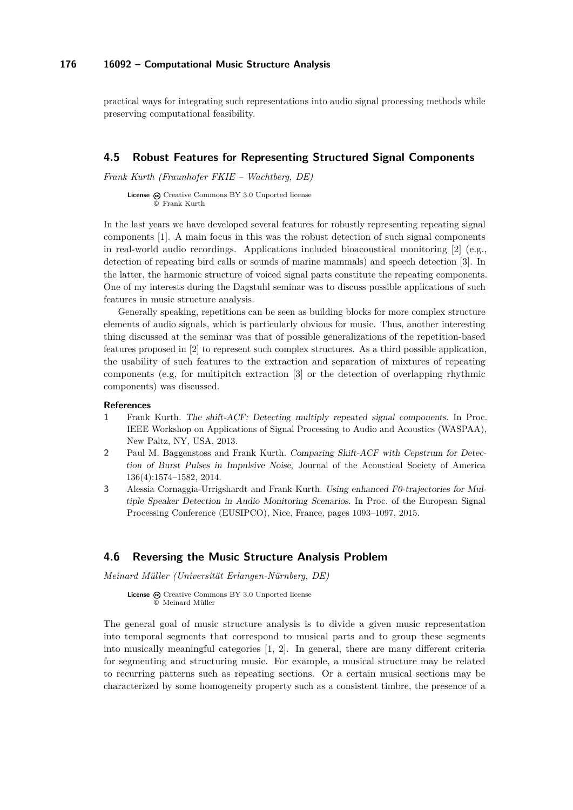practical ways for integrating such representations into audio signal processing methods while preserving computational feasibility.

### <span id="page-29-0"></span>**4.5 Robust Features for Representing Structured Signal Components**

*Frank Kurth (Fraunhofer FKIE – Wachtberg, DE)*

**License**  $\textcircled{e}$  [Creative Commons BY 3.0 Unported](http://creativecommons.org/licenses/by/3.0/) license © [Frank Kurth](#page-29-0)

In the last years we have developed several features for robustly representing repeating signal components [\[1\]](#page-29-2). A main focus in this was the robust detection of such signal components in real-world audio recordings. Applications included bioacoustical monitoring [\[2\]](#page-29-3) (e.g., detection of repeating bird calls or sounds of marine mammals) and speech detection [\[3\]](#page-29-4). In the latter, the harmonic structure of voiced signal parts constitute the repeating components. One of my interests during the Dagstuhl seminar was to discuss possible applications of such features in music structure analysis.

Generally speaking, repetitions can be seen as building blocks for more complex structure elements of audio signals, which is particularly obvious for music. Thus, another interesting thing discussed at the seminar was that of possible generalizations of the repetition-based features proposed in [\[2\]](#page-29-3) to represent such complex structures. As a third possible application, the usability of such features to the extraction and separation of mixtures of repeating components (e.g, for multipitch extraction [\[3\]](#page-29-4) or the detection of overlapping rhythmic components) was discussed.

### **References**

- <span id="page-29-2"></span>**1** Frank Kurth. The shift-ACF: Detecting multiply repeated signal components. In Proc. IEEE Workshop on Applications of Signal Processing to Audio and Acoustics (WASPAA), New Paltz, NY, USA, 2013.
- <span id="page-29-3"></span>**2** Paul M. Baggenstoss and Frank Kurth. Comparing Shift-ACF with Cepstrum for Detection of Burst Pulses in Impulsive Noise, Journal of the Acoustical Society of America 136(4):1574–1582, 2014.
- <span id="page-29-4"></span>**3** Alessia Cornaggia-Urrigshardt and Frank Kurth. Using enhanced F0-trajectories for Multiple Speaker Detection in Audio Monitoring Scenarios. In Proc. of the European Signal Processing Conference (EUSIPCO), Nice, France, pages 1093–1097, 2015.

### <span id="page-29-1"></span>**4.6 Reversing the Music Structure Analysis Problem**

*Meinard Müller (Universität Erlangen-Nürnberg, DE)*

License  $\textcircled{c}$  [Creative Commons BY 3.0 Unported](http://creativecommons.org/licenses/by/3.0/) license © [Meinard Müller](#page-29-1)

The general goal of music structure analysis is to divide a given music representation into temporal segments that correspond to musical parts and to group these segments into musically meaningful categories [\[1,](#page-30-1) [2\]](#page-30-2). In general, there are many different criteria for segmenting and structuring music. For example, a musical structure may be related to recurring patterns such as repeating sections. Or a certain musical sections may be characterized by some homogeneity property such as a consistent timbre, the presence of a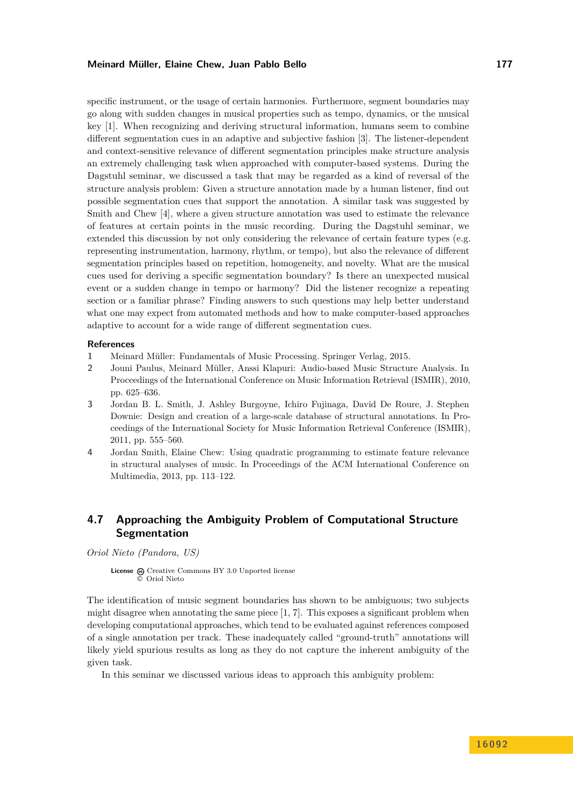specific instrument, or the usage of certain harmonies. Furthermore, segment boundaries may go along with sudden changes in musical properties such as tempo, dynamics, or the musical key [\[1\]](#page-30-1). When recognizing and deriving structural information, humans seem to combine different segmentation cues in an adaptive and subjective fashion [\[3\]](#page-30-3). The listener-dependent and context-sensitive relevance of different segmentation principles make structure analysis an extremely challenging task when approached with computer-based systems. During the Dagstuhl seminar, we discussed a task that may be regarded as a kind of reversal of the structure analysis problem: Given a structure annotation made by a human listener, find out possible segmentation cues that support the annotation. A similar task was suggested by Smith and Chew [\[4\]](#page-30-4), where a given structure annotation was used to estimate the relevance of features at certain points in the music recording. During the Dagstuhl seminar, we extended this discussion by not only considering the relevance of certain feature types (e.g. representing instrumentation, harmony, rhythm, or tempo), but also the relevance of different segmentation principles based on repetition, homogeneity, and novelty. What are the musical cues used for deriving a specific segmentation boundary? Is there an unexpected musical event or a sudden change in tempo or harmony? Did the listener recognize a repeating section or a familiar phrase? Finding answers to such questions may help better understand what one may expect from automated methods and how to make computer-based approaches adaptive to account for a wide range of different segmentation cues.

#### **References**

- <span id="page-30-1"></span>**1** Meinard Müller: Fundamentals of Music Processing. Springer Verlag, 2015.
- <span id="page-30-2"></span>**2** Jouni Paulus, Meinard Müller, Anssi Klapuri: Audio-based Music Structure Analysis. In Proceedings of the International Conference on Music Information Retrieval (ISMIR), 2010, pp. 625–636.
- <span id="page-30-3"></span>**3** Jordan B. L. Smith, J. Ashley Burgoyne, Ichiro Fujinaga, David De Roure, J. Stephen Downie: Design and creation of a large-scale database of structural annotations. In Proceedings of the International Society for Music Information Retrieval Conference (ISMIR), 2011, pp. 555–560.
- <span id="page-30-4"></span>**4** Jordan Smith, Elaine Chew: Using quadratic programming to estimate feature relevance in structural analyses of music. In Proceedings of the ACM International Conference on Multimedia, 2013, pp. 113–122.

# <span id="page-30-0"></span>**4.7 Approaching the Ambiguity Problem of Computational Structure Segmentation**

*Oriol Nieto (Pandora, US)*

License  $\odot$  [Creative Commons BY 3.0 Unported](http://creativecommons.org/licenses/by/3.0/) license © [Oriol Nieto](#page-30-0)

The identification of music segment boundaries has shown to be ambiguous; two subjects might disagree when annotating the same piece  $[1, 7]$  $[1, 7]$  $[1, 7]$ . This exposes a significant problem when developing computational approaches, which tend to be evaluated against references composed of a single annotation per track. These inadequately called "ground-truth" annotations will likely yield spurious results as long as they do not capture the inherent ambiguity of the given task.

In this seminar we discussed various ideas to approach this ambiguity problem: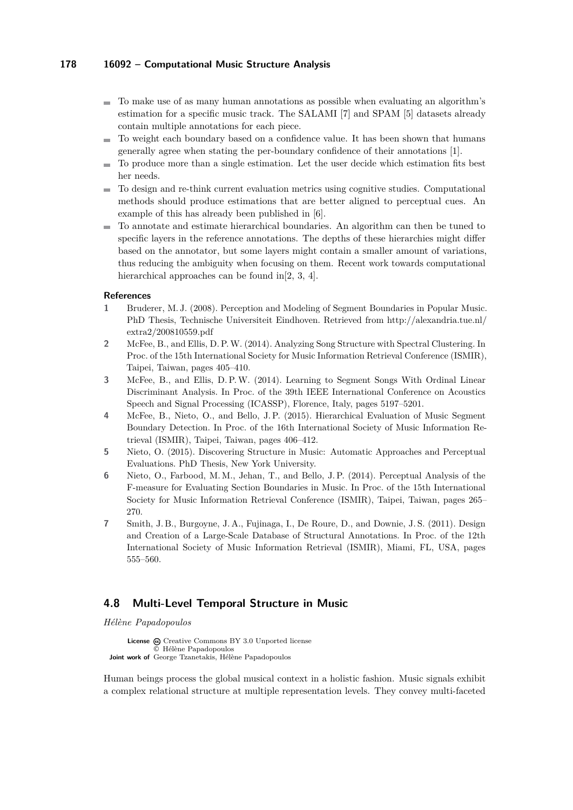- $\blacksquare$  To make use of as many human annotations as possible when evaluating an algorithm's estimation for a specific music track. The SALAMI [\[7\]](#page-31-2) and SPAM [\[5\]](#page-31-3) datasets already contain multiple annotations for each piece.
- To weight each boundary based on a confidence value. It has been shown that humans generally agree when stating the per-boundary confidence of their annotations [\[1\]](#page-31-1).
- To produce more than a single estimation. Let the user decide which estimation fits best her needs.
- To design and re-think current evaluation metrics using cognitive studies. Computational  $\sim$ methods should produce estimations that are better aligned to perceptual cues. An example of this has already been published in [\[6\]](#page-31-4).
- To annotate and estimate hierarchical boundaries. An algorithm can then be tuned to  $\mathcal{L}_{\mathcal{A}}$ specific layers in the reference annotations. The depths of these hierarchies might differ based on the annotator, but some layers might contain a smaller amount of variations, thus reducing the ambiguity when focusing on them. Recent work towards computational hierarchical approaches can be found in [\[2,](#page-31-5) [3,](#page-31-6) [4\]](#page-31-7).

### **References**

- <span id="page-31-1"></span>**1** Bruderer, M. J. (2008). Perception and Modeling of Segment Boundaries in Popular Music. PhD Thesis, Technische Universiteit Eindhoven. Retrieved from [http://alexandria.tue.nl/](http://alexandria.tue.nl/extra2/200810559.pdf) [extra2/200810559.pdf](http://alexandria.tue.nl/extra2/200810559.pdf)
- <span id="page-31-5"></span>**2** McFee, B., and Ellis, D. P.W. (2014). Analyzing Song Structure with Spectral Clustering. In Proc. of the 15th International Society for Music Information Retrieval Conference (ISMIR), Taipei, Taiwan, pages 405–410.
- <span id="page-31-6"></span>**3** McFee, B., and Ellis, D. P.W. (2014). Learning to Segment Songs With Ordinal Linear Discriminant Analysis. In Proc. of the 39th IEEE International Conference on Acoustics Speech and Signal Processing (ICASSP), Florence, Italy, pages 5197–5201.
- <span id="page-31-7"></span>**4** McFee, B., Nieto, O., and Bello, J. P. (2015). Hierarchical Evaluation of Music Segment Boundary Detection. In Proc. of the 16th International Society of Music Information Retrieval (ISMIR), Taipei, Taiwan, pages 406–412.
- <span id="page-31-3"></span>**5** Nieto, O. (2015). Discovering Structure in Music: Automatic Approaches and Perceptual Evaluations. PhD Thesis, New York University.
- <span id="page-31-4"></span>**6** Nieto, O., Farbood, M. M., Jehan, T., and Bello, J. P. (2014). Perceptual Analysis of the F-measure for Evaluating Section Boundaries in Music. In Proc. of the 15th International Society for Music Information Retrieval Conference (ISMIR), Taipei, Taiwan, pages 265– 270.
- <span id="page-31-2"></span>**7** Smith, J. B., Burgoyne, J. A., Fujinaga, I., De Roure, D., and Downie, J. S. (2011). Design and Creation of a Large-Scale Database of Structural Annotations. In Proc. of the 12th International Society of Music Information Retrieval (ISMIR), Miami, FL, USA, pages 555–560.

# <span id="page-31-0"></span>**4.8 Multi-Level Temporal Structure in Music**

*Hélène Papadopoulos*

License  $\textcircled{e}$  [Creative Commons BY 3.0 Unported](http://creativecommons.org/licenses/by/3.0/) license © [Hélène Papadopoulos](#page-31-0) **Joint work of** George Tzanetakis, Hélène Papadopoulos

Human beings process the global musical context in a holistic fashion. Music signals exhibit a complex relational structure at multiple representation levels. They convey multi-faceted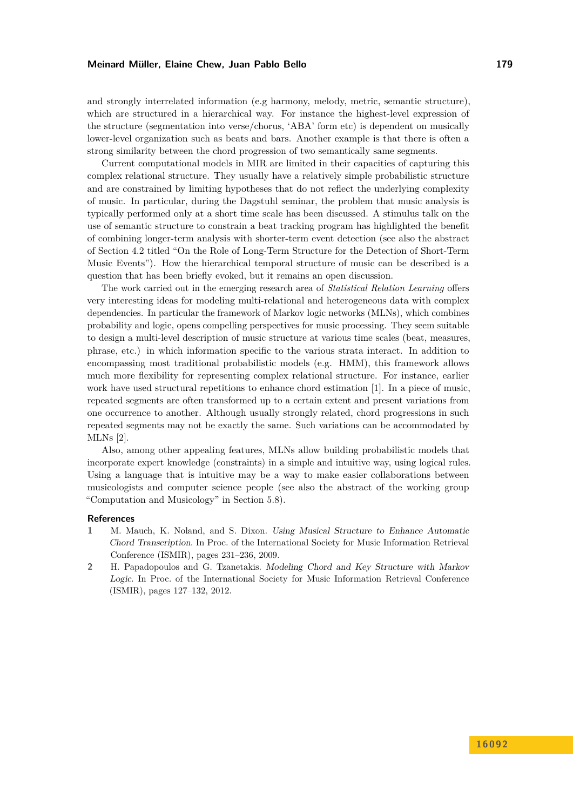and strongly interrelated information (e.g harmony, melody, metric, semantic structure), which are structured in a hierarchical way. For instance the highest-level expression of the structure (segmentation into verse/chorus, 'ABA' form etc) is dependent on musically lower-level organization such as beats and bars. Another example is that there is often a strong similarity between the chord progression of two semantically same segments.

Current computational models in MIR are limited in their capacities of capturing this complex relational structure. They usually have a relatively simple probabilistic structure and are constrained by limiting hypotheses that do not reflect the underlying complexity of music. In particular, during the Dagstuhl seminar, the problem that music analysis is typically performed only at a short time scale has been discussed. A stimulus talk on the use of semantic structure to constrain a beat tracking program has highlighted the benefit of combining longer-term analysis with shorter-term event detection (see also the abstract of Section [4.2](#page-26-2) titled "On the Role of Long-Term Structure for the Detection of Short-Term Music Events"). How the hierarchical temporal structure of music can be described is a question that has been briefly evoked, but it remains an open discussion.

The work carried out in the emerging research area of *Statistical Relation Learning* offers very interesting ideas for modeling multi-relational and heterogeneous data with complex dependencies. In particular the framework of Markov logic networks (MLNs), which combines probability and logic, opens compelling perspectives for music processing. They seem suitable to design a multi-level description of music structure at various time scales (beat, measures, phrase, etc.) in which information specific to the various strata interact. In addition to encompassing most traditional probabilistic models (e.g. HMM), this framework allows much more flexibility for representing complex relational structure. For instance, earlier work have used structural repetitions to enhance chord estimation [\[1\]](#page-32-0). In a piece of music, repeated segments are often transformed up to a certain extent and present variations from one occurrence to another. Although usually strongly related, chord progressions in such repeated segments may not be exactly the same. Such variations can be accommodated by MLNs [\[2\]](#page-32-1).

Also, among other appealing features, MLNs allow building probabilistic models that incorporate expert knowledge (constraints) in a simple and intuitive way, using logical rules. Using a language that is intuitive may be a way to make easier collaborations between musicologists and computer science people (see also the abstract of the working group "Computation and Musicology" in Section [5.8\)](#page-41-0).

#### **References**

- <span id="page-32-0"></span>**1** M. Mauch, K. Noland, and S. Dixon. Using Musical Structure to Enhance Automatic Chord Transcription. In Proc. of the International Society for Music Information Retrieval Conference (ISMIR), pages 231–236, 2009.
- <span id="page-32-1"></span>**2** H. Papadopoulos and G. Tzanetakis. Modeling Chord and Key Structure with Markov Logic. In Proc. of the International Society for Music Information Retrieval Conference (ISMIR), pages 127–132, 2012.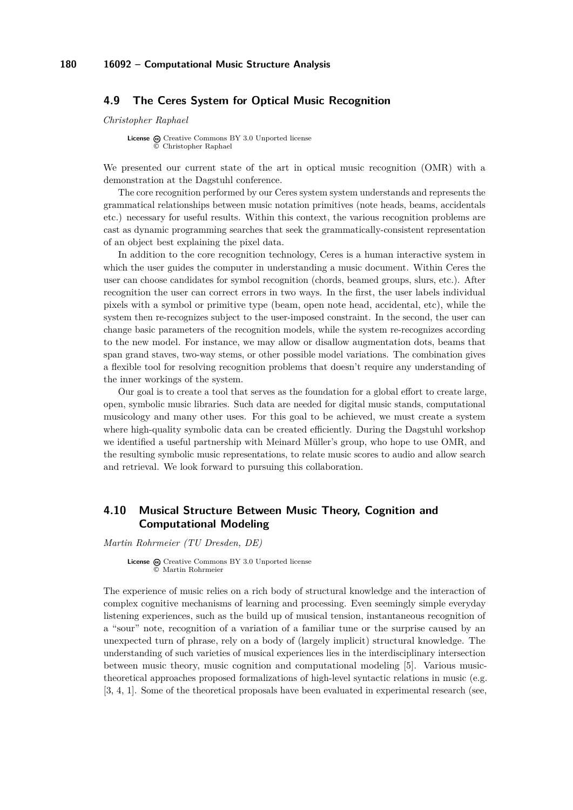## <span id="page-33-0"></span>**4.9 The Ceres System for Optical Music Recognition**

*Christopher Raphael*

**License**  $\textcircled{c}$  [Creative Commons BY 3.0 Unported](http://creativecommons.org/licenses/by/3.0/) license © [Christopher Raphael](#page-33-0)

We presented our current state of the art in optical music recognition (OMR) with a demonstration at the Dagstuhl conference.

The core recognition performed by our Ceres system system understands and represents the grammatical relationships between music notation primitives (note heads, beams, accidentals etc.) necessary for useful results. Within this context, the various recognition problems are cast as dynamic programming searches that seek the grammatically-consistent representation of an object best explaining the pixel data.

In addition to the core recognition technology, Ceres is a human interactive system in which the user guides the computer in understanding a music document. Within Ceres the user can choose candidates for symbol recognition (chords, beamed groups, slurs, etc.). After recognition the user can correct errors in two ways. In the first, the user labels individual pixels with a symbol or primitive type (beam, open note head, accidental, etc), while the system then re-recognizes subject to the user-imposed constraint. In the second, the user can change basic parameters of the recognition models, while the system re-recognizes according to the new model. For instance, we may allow or disallow augmentation dots, beams that span grand staves, two-way stems, or other possible model variations. The combination gives a flexible tool for resolving recognition problems that doesn't require any understanding of the inner workings of the system.

Our goal is to create a tool that serves as the foundation for a global effort to create large, open, symbolic music libraries. Such data are needed for digital music stands, computational musicology and many other uses. For this goal to be achieved, we must create a system where high-quality symbolic data can be created efficiently. During the Dagstuhl workshop we identified a useful partnership with Meinard Müller's group, who hope to use OMR, and the resulting symbolic music representations, to relate music scores to audio and allow search and retrieval. We look forward to pursuing this collaboration.

# <span id="page-33-1"></span>**4.10 Musical Structure Between Music Theory, Cognition and Computational Modeling**

*Martin Rohrmeier (TU Dresden, DE)*

License  $\textcircled{c}$  [Creative Commons BY 3.0 Unported](http://creativecommons.org/licenses/by/3.0/) license © [Martin Rohrmeier](#page-33-1)

The experience of music relies on a rich body of structural knowledge and the interaction of complex cognitive mechanisms of learning and processing. Even seemingly simple everyday listening experiences, such as the build up of musical tension, instantaneous recognition of a "sour" note, recognition of a variation of a familiar tune or the surprise caused by an unexpected turn of phrase, rely on a body of (largely implicit) structural knowledge. The understanding of such varieties of musical experiences lies in the interdisciplinary intersection between music theory, music cognition and computational modeling [\[5\]](#page-34-1). Various musictheoretical approaches proposed formalizations of high-level syntactic relations in music (e.g. [\[3,](#page-34-2) [4,](#page-34-3) [1\]](#page-34-4). Some of the theoretical proposals have been evaluated in experimental research (see,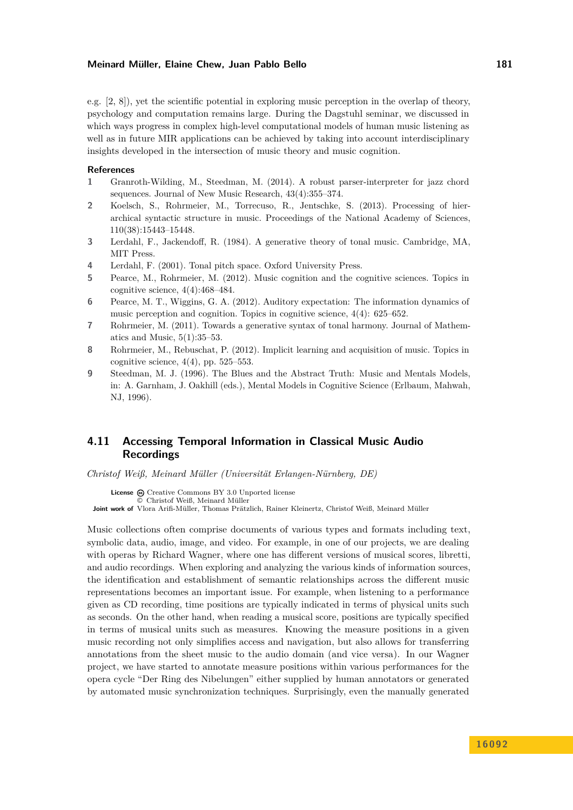e.g. [\[2,](#page-34-5) [8\]](#page-34-6)), yet the scientific potential in exploring music perception in the overlap of theory, psychology and computation remains large. During the Dagstuhl seminar, we discussed in which ways progress in complex high-level computational models of human music listening as well as in future MIR applications can be achieved by taking into account interdisciplinary insights developed in the intersection of music theory and music cognition.

#### **References**

- <span id="page-34-4"></span>**1** Granroth-Wilding, M., Steedman, M. (2014). A robust parser-interpreter for jazz chord sequences. Journal of New Music Research, 43(4):355–374.
- <span id="page-34-5"></span>**2** Koelsch, S., Rohrmeier, M., Torrecuso, R., Jentschke, S. (2013). Processing of hierarchical syntactic structure in music. Proceedings of the National Academy of Sciences, 110(38):15443–15448.
- <span id="page-34-2"></span>**3** Lerdahl, F., Jackendoff, R. (1984). A generative theory of tonal music. Cambridge, MA, MIT Press.
- <span id="page-34-3"></span>**4** Lerdahl, F. (2001). Tonal pitch space. Oxford University Press.
- <span id="page-34-1"></span>**5** Pearce, M., Rohrmeier, M. (2012). Music cognition and the cognitive sciences. Topics in cognitive science, 4(4):468–484.
- **6** Pearce, M. T., Wiggins, G. A. (2012). Auditory expectation: The information dynamics of music perception and cognition. Topics in cognitive science, 4(4): 625–652.
- **7** Rohrmeier, M. (2011). Towards a generative syntax of tonal harmony. Journal of Mathematics and Music,  $5(1):35-53$ .
- <span id="page-34-6"></span>**8** Rohrmeier, M., Rebuschat, P. (2012). Implicit learning and acquisition of music. Topics in cognitive science,  $4(4)$ , pp.  $525-553$ .
- **9** Steedman, M. J. (1996). The Blues and the Abstract Truth: Music and Mentals Models, in: A. Garnham, J. Oakhill (eds.), Mental Models in Cognitive Science (Erlbaum, Mahwah, NJ, 1996).

# <span id="page-34-0"></span>**4.11 Accessing Temporal Information in Classical Music Audio Recordings**

*Christof Weiß, Meinard Müller (Universität Erlangen-Nürnberg, DE)*

**License**  $\odot$  [Creative Commons BY 3.0 Unported](http://creativecommons.org/licenses/by/3.0/) license © [Christof Weiß, Meinard Müller](#page-34-0)

**Joint work of** Vlora Arifi-Müller, Thomas Prätzlich, Rainer Kleinertz, Christof Weiß, Meinard Müller

Music collections often comprise documents of various types and formats including text, symbolic data, audio, image, and video. For example, in one of our projects, we are dealing with operas by Richard Wagner, where one has different versions of musical scores, libretti, and audio recordings. When exploring and analyzing the various kinds of information sources, the identification and establishment of semantic relationships across the different music representations becomes an important issue. For example, when listening to a performance given as CD recording, time positions are typically indicated in terms of physical units such as seconds. On the other hand, when reading a musical score, positions are typically specified in terms of musical units such as measures. Knowing the measure positions in a given music recording not only simplifies access and navigation, but also allows for transferring annotations from the sheet music to the audio domain (and vice versa). In our Wagner project, we have started to annotate measure positions within various performances for the opera cycle "Der Ring des Nibelungen" either supplied by human annotators or generated by automated music synchronization techniques. Surprisingly, even the manually generated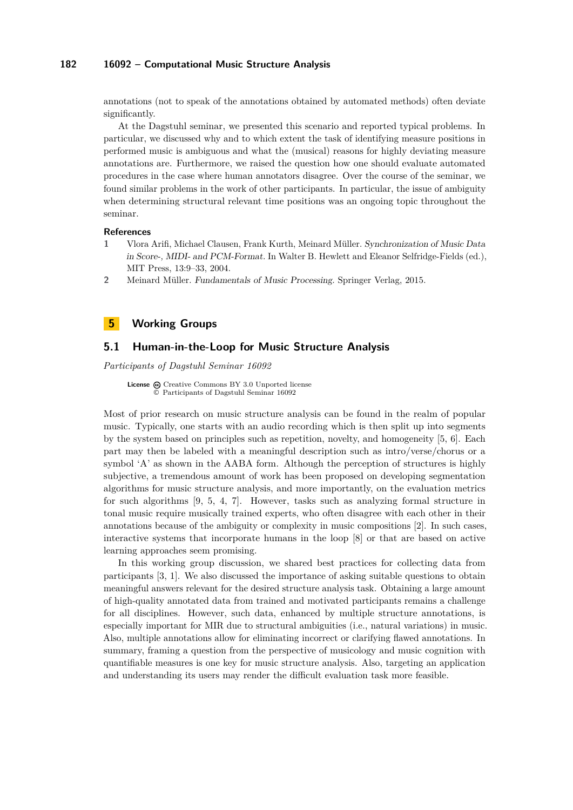annotations (not to speak of the annotations obtained by automated methods) often deviate significantly.

At the Dagstuhl seminar, we presented this scenario and reported typical problems. In particular, we discussed why and to which extent the task of identifying measure positions in performed music is ambiguous and what the (musical) reasons for highly deviating measure annotations are. Furthermore, we raised the question how one should evaluate automated procedures in the case where human annotators disagree. Over the course of the seminar, we found similar problems in the work of other participants. In particular, the issue of ambiguity when determining structural relevant time positions was an ongoing topic throughout the seminar.

#### **References**

- **1** Vlora Arifi, Michael Clausen, Frank Kurth, Meinard Müller. Synchronization of Music Data in Score-, MIDI- and PCM-Format. In Walter B. Hewlett and Eleanor Selfridge-Fields (ed.), MIT Press, 13:9–33, 2004.
- **2** Meinard Müller. Fundamentals of Music Processing. Springer Verlag, 2015.

# <span id="page-35-0"></span>**5 Working Groups**

### <span id="page-35-1"></span>**5.1 Human-in-the-Loop for Music Structure Analysis**

*Participants of Dagstuhl Seminar 16092*

License  $\textcircled{c}$  [Creative Commons BY 3.0 Unported](http://creativecommons.org/licenses/by/3.0/) license © [Participants of Dagstuhl Seminar 16092](#page-35-1)

Most of prior research on music structure analysis can be found in the realm of popular music. Typically, one starts with an audio recording which is then split up into segments by the system based on principles such as repetition, novelty, and homogeneity [\[5,](#page-36-1) [6\]](#page-36-2). Each part may then be labeled with a meaningful description such as intro/verse/chorus or a symbol 'A' as shown in the AABA form. Although the perception of structures is highly subjective, a tremendous amount of work has been proposed on developing segmentation algorithms for music structure analysis, and more importantly, on the evaluation metrics for such algorithms [\[9,](#page-36-3) [5,](#page-36-1) [4,](#page-36-4) [7\]](#page-36-5). However, tasks such as analyzing formal structure in tonal music require musically trained experts, who often disagree with each other in their annotations because of the ambiguity or complexity in music compositions [\[2\]](#page-36-6). In such cases, interactive systems that incorporate humans in the loop [\[8\]](#page-36-7) or that are based on active learning approaches seem promising.

In this working group discussion, we shared best practices for collecting data from participants [\[3,](#page-36-8) [1\]](#page-36-9). We also discussed the importance of asking suitable questions to obtain meaningful answers relevant for the desired structure analysis task. Obtaining a large amount of high-quality annotated data from trained and motivated participants remains a challenge for all disciplines. However, such data, enhanced by multiple structure annotations, is especially important for MIR due to structural ambiguities (i.e., natural variations) in music. Also, multiple annotations allow for eliminating incorrect or clarifying flawed annotations. In summary, framing a question from the perspective of musicology and music cognition with quantifiable measures is one key for music structure analysis. Also, targeting an application and understanding its users may render the difficult evaluation task more feasible.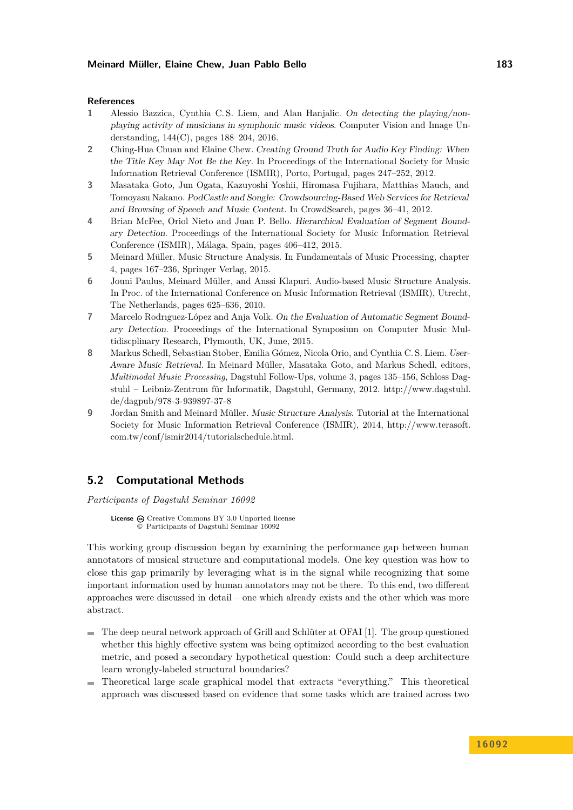#### **References**

- <span id="page-36-9"></span>**1** Alessio Bazzica, Cynthia C. S. Liem, and Alan Hanjalic. On detecting the playing/nonplaying activity of musicians in symphonic music videos. Computer Vision and Image Understanding, 144(C), pages 188–204, 2016.
- <span id="page-36-6"></span>**2** Ching-Hua Chuan and Elaine Chew. Creating Ground Truth for Audio Key Finding: When the Title Key May Not Be the Key. In Proceedings of the International Society for Music Information Retrieval Conference (ISMIR), Porto, Portugal, pages 247–252, 2012.
- <span id="page-36-8"></span>**3** Masataka Goto, Jun Ogata, Kazuyoshi Yoshii, Hiromasa Fujihara, Matthias Mauch, and Tomoyasu Nakano. PodCastle and Songle: Crowdsourcing-Based Web Services for Retrieval and Browsing of Speech and Music Content. In CrowdSearch, pages 36–41, 2012.
- <span id="page-36-4"></span>**4** Brian McFee, Oriol Nieto and Juan P. Bello. Hierarchical Evaluation of Segment Boundary Detection. Proceedings of the International Society for Music Information Retrieval Conference (ISMIR), Málaga, Spain, pages 406–412, 2015.
- <span id="page-36-1"></span>**5** Meinard Müller. Music Structure Analysis. In Fundamentals of Music Processing, chapter 4, pages 167–236, Springer Verlag, 2015.
- <span id="page-36-2"></span>**6** Jouni Paulus, Meinard Müller, and Anssi Klapuri. Audio-based Music Structure Analysis. In Proc. of the International Conference on Music Information Retrieval (ISMIR), Utrecht, The Netherlands, pages 625–636, 2010.
- <span id="page-36-5"></span>**7** Marcelo Rodrıguez-López and Anja Volk. On the Evaluation of Automatic Segment Boundary Detection. Proceedings of the International Symposium on Computer Music Multidiscplinary Research, Plymouth, UK, June, 2015.
- <span id="page-36-7"></span>**8** Markus Schedl, Sebastian Stober, Emilia Gómez, Nicola Orio, and Cynthia C. S. Liem. User-Aware Music Retrieval. In Meinard Müller, Masataka Goto, and Markus Schedl, editors, *Multimodal Music Processing*, Dagstuhl Follow-Ups, volume 3, pages 135–156, Schloss Dagstuhl – Leibniz-Zentrum für Informatik, Dagstuhl, Germany, 2012. [http://www.dagstuhl.](http://www.dagstuhl.de/dagpub/978-3-939897-37-8) [de/dagpub/978-3-939897-37-8](http://www.dagstuhl.de/dagpub/978-3-939897-37-8)
- <span id="page-36-3"></span>**9** Jordan Smith and Meinard Müller. Music Structure Analysis. Tutorial at the International Society for Music Information Retrieval Conference (ISMIR), 2014, [http://www.terasoft.](http://www.terasoft.com.tw/conf/ismir2014/tutorialschedule.html) [com.tw/conf/ismir2014/tutorialschedule.html.](http://www.terasoft.com.tw/conf/ismir2014/tutorialschedule.html)

# <span id="page-36-0"></span>**5.2 Computational Methods**

*Participants of Dagstuhl Seminar 16092*

License  $\bigcirc$  [Creative Commons BY 3.0 Unported](http://creativecommons.org/licenses/by/3.0/) license © [Participants of Dagstuhl Seminar 16092](#page-36-0)

This working group discussion began by examining the performance gap between human annotators of musical structure and computational models. One key question was how to close this gap primarily by leveraging what is in the signal while recognizing that some important information used by human annotators may not be there. To this end, two different approaches were discussed in detail – one which already exists and the other which was more abstract.

- The deep neural network approach of Grill and Schlüter at OFAI [\[1\]](#page-37-1). The group questioned whether this highly effective system was being optimized according to the best evaluation metric, and posed a secondary hypothetical question: Could such a deep architecture learn wrongly-labeled structural boundaries?
- Theoretical large scale graphical model that extracts "everything." This theoretical approach was discussed based on evidence that some tasks which are trained across two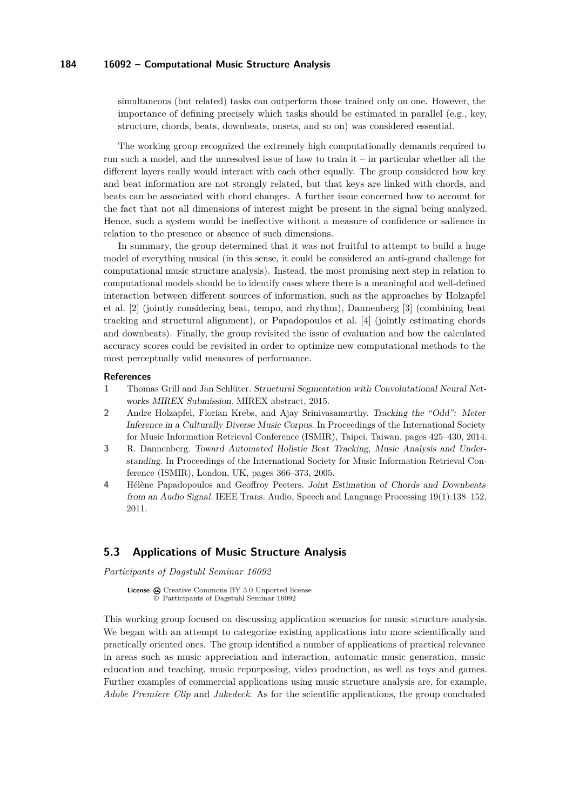simultaneous (but related) tasks can outperform those trained only on one. However, the importance of defining precisely which tasks should be estimated in parallel (e.g., key, structure, chords, beats, downbeats, onsets, and so on) was considered essential.

The working group recognized the extremely high computationally demands required to run such a model, and the unresolved issue of how to train it – in particular whether all the different layers really would interact with each other equally. The group considered how key and beat information are not strongly related, but that keys are linked with chords, and beats can be associated with chord changes. A further issue concerned how to account for the fact that not all dimensions of interest might be present in the signal being analyzed. Hence, such a system would be ineffective without a measure of confidence or salience in relation to the presence or absence of such dimensions.

In summary, the group determined that it was not fruitful to attempt to build a huge model of everything musical (in this sense, it could be considered an anti-grand challenge for computational music structure analysis). Instead, the most promising next step in relation to computational models should be to identify cases where there is a meaningful and well-defined interaction between different sources of information, such as the approaches by Holzapfel et al. [\[2\]](#page-37-2) (jointly considering beat, tempo, and rhythm), Dannenberg [\[3\]](#page-37-3) (combining beat tracking and structural alignment), or Papadopoulos et al. [\[4\]](#page-37-4) (jointly estimating chords and downbeats). Finally, the group revisited the issue of evaluation and how the calculated accuracy scores could be revisited in order to optimize new computational methods to the most perceptually valid measures of performance.

#### **References**

- <span id="page-37-1"></span>**1** Thomas Grill and Jan Schlüter. Structural Segmentation with Convolutational Neural Networks MIREX Submission. MIREX abstract, 2015.
- <span id="page-37-2"></span>**2** Andre Holzapfel, Florian Krebs, and Ajay Srinivasamurthy. Tracking the "Odd": Meter Inference in a Culturally Diverse Music Corpus. In Proceedings of the International Society for Music Information Retrieval Conference (ISMIR), Taipei, Taiwan, pages 425–430, 2014.
- <span id="page-37-3"></span>**3** R. Dannenberg. Toward Automated Holistic Beat Tracking, Music Analysis and Understanding. In Proceedings of the International Society for Music Information Retrieval Conference (ISMIR), London, UK, pages 366–373, 2005.
- <span id="page-37-4"></span>**4** Hélène Papadopoulos and Geoffroy Peeters. Joint Estimation of Chords and Downbeats from an Audio Signal. IEEE Trans. Audio, Speech and Language Processing 19(1):138–152, 2011.

## <span id="page-37-0"></span>**5.3 Applications of Music Structure Analysis**

*Participants of Dagstuhl Seminar 16092*

**License**  $\textcircled{e}$  [Creative Commons BY 3.0 Unported](http://creativecommons.org/licenses/by/3.0/) license © [Participants of Dagstuhl Seminar 16092](#page-37-0)

This working group focused on discussing application scenarios for music structure analysis. We began with an attempt to categorize existing applications into more scientifically and practically oriented ones. The group identified a number of applications of practical relevance in areas such as music appreciation and interaction, automatic music generation, music education and teaching, music repurposing, video production, as well as toys and games. Further examples of commercial applications using music structure analysis are, for example, *Adobe Premiere Clip* and *Jukedeck*. As for the scientific applications, the group concluded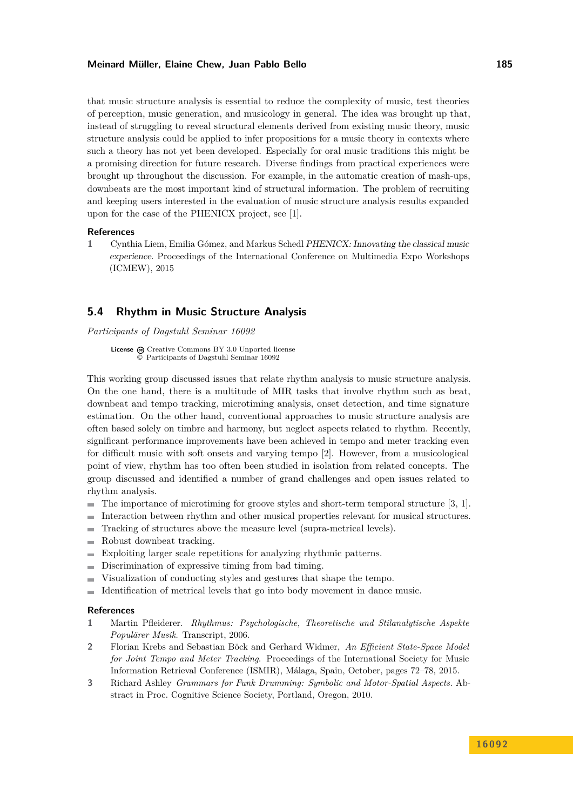that music structure analysis is essential to reduce the complexity of music, test theories of perception, music generation, and musicology in general. The idea was brought up that, instead of struggling to reveal structural elements derived from existing music theory, music structure analysis could be applied to infer propositions for a music theory in contexts where such a theory has not yet been developed. Especially for oral music traditions this might be a promising direction for future research. Diverse findings from practical experiences were brought up throughout the discussion. For example, in the automatic creation of mash-ups, downbeats are the most important kind of structural information. The problem of recruiting and keeping users interested in the evaluation of music structure analysis results expanded upon for the case of the PHENICX project, see [\[1\]](#page-38-1).

#### **References**

<span id="page-38-1"></span>**1** Cynthia Liem, Emilia Gómez, and Markus Schedl PHENICX: Innovating the classical music experience. Proceedings of the International Conference on Multimedia Expo Workshops (ICMEW), 2015

### <span id="page-38-0"></span>**5.4 Rhythm in Music Structure Analysis**

*Participants of Dagstuhl Seminar 16092*

**License**  $\textcircled{e}$  [Creative Commons BY 3.0 Unported](http://creativecommons.org/licenses/by/3.0/) license © [Participants of Dagstuhl Seminar 16092](#page-38-0)

This working group discussed issues that relate rhythm analysis to music structure analysis. On the one hand, there is a multitude of MIR tasks that involve rhythm such as beat, downbeat and tempo tracking, microtiming analysis, onset detection, and time signature estimation. On the other hand, conventional approaches to music structure analysis are often based solely on timbre and harmony, but neglect aspects related to rhythm. Recently, significant performance improvements have been achieved in tempo and meter tracking even for difficult music with soft onsets and varying tempo [\[2\]](#page-38-2). However, from a musicological point of view, rhythm has too often been studied in isolation from related concepts. The group discussed and identified a number of grand challenges and open issues related to rhythm analysis.

- The importance of microtiming for groove styles and short-term temporal structure [\[3,](#page-38-3) [1\]](#page-38-4).  $\blacksquare$
- Interaction between rhythm and other musical properties relevant for musical structures.  $\equiv$
- Tracking of structures above the measure level (supra-metrical levels).  $\overline{a}$
- Robust downbeat tracking. Ē.
- Exploiting larger scale repetitions for analyzing rhythmic patterns.  $\overline{\phantom{a}}$
- Discrimination of expressive timing from bad timing. ÷
- Visualization of conducting styles and gestures that shape the tempo.  $\overline{a}$
- $\overline{a}$ Identification of metrical levels that go into body movement in dance music.

### **References**

- <span id="page-38-4"></span>**1** Martin Pfleiderer. *Rhythmus: Psychologische, Theoretische und Stilanalytische Aspekte Populärer Musik*. Transcript, 2006.
- <span id="page-38-2"></span>**2** Florian Krebs and Sebastian Böck and Gerhard Widmer, *An Efficient State-Space Model for Joint Tempo and Meter Tracking*. Proceedings of the International Society for Music Information Retrieval Conference (ISMIR), Málaga, Spain, October, pages 72–78, 2015.
- <span id="page-38-3"></span>**3** Richard Ashley *Grammars for Funk Drumming: Symbolic and Motor-Spatial Aspects.* Abstract in Proc. Cognitive Science Society, Portland, Oregon, 2010.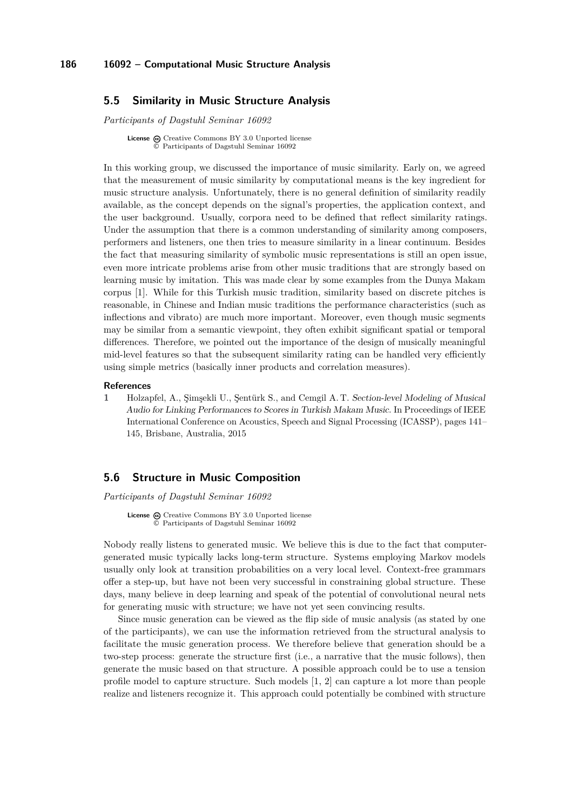# <span id="page-39-0"></span>**5.5 Similarity in Music Structure Analysis**

*Participants of Dagstuhl Seminar 16092*

**License**  $\bigoplus$  [Creative Commons BY 3.0 Unported](http://creativecommons.org/licenses/by/3.0/) license © [Participants of Dagstuhl Seminar 16092](#page-39-0)

In this working group, we discussed the importance of music similarity. Early on, we agreed that the measurement of music similarity by computational means is the key ingredient for music structure analysis. Unfortunately, there is no general definition of similarity readily available, as the concept depends on the signal's properties, the application context, and the user background. Usually, corpora need to be defined that reflect similarity ratings. Under the assumption that there is a common understanding of similarity among composers, performers and listeners, one then tries to measure similarity in a linear continuum. Besides the fact that measuring similarity of symbolic music representations is still an open issue, even more intricate problems arise from other music traditions that are strongly based on learning music by imitation. This was made clear by some examples from the Dunya Makam corpus [\[1\]](#page-39-2). While for this Turkish music tradition, similarity based on discrete pitches is reasonable, in Chinese and Indian music traditions the performance characteristics (such as inflections and vibrato) are much more important. Moreover, even though music segments may be similar from a semantic viewpoint, they often exhibit significant spatial or temporal differences. Therefore, we pointed out the importance of the design of musically meaningful mid-level features so that the subsequent similarity rating can be handled very efficiently using simple metrics (basically inner products and correlation measures).

#### **References**

<span id="page-39-2"></span>**1** Holzapfel, A., Şimşekli U., Şentürk S., and Cemgil A. T. Section-level Modeling of Musical Audio for Linking Performances to Scores in Turkish Makam Music. In Proceedings of IEEE International Conference on Acoustics, Speech and Signal Processing (ICASSP), pages 141– 145, Brisbane, Australia, 2015

### <span id="page-39-1"></span>**5.6 Structure in Music Composition**

*Participants of Dagstuhl Seminar 16092*

**License**  $\textcircled{c}$  [Creative Commons BY 3.0 Unported](http://creativecommons.org/licenses/by/3.0/) license © [Participants of Dagstuhl Seminar 16092](#page-39-1)

Nobody really listens to generated music. We believe this is due to the fact that computergenerated music typically lacks long-term structure. Systems employing Markov models usually only look at transition probabilities on a very local level. Context-free grammars offer a step-up, but have not been very successful in constraining global structure. These days, many believe in deep learning and speak of the potential of convolutional neural nets for generating music with structure; we have not yet seen convincing results.

Since music generation can be viewed as the flip side of music analysis (as stated by one of the participants), we can use the information retrieved from the structural analysis to facilitate the music generation process. We therefore believe that generation should be a two-step process: generate the structure first (i.e., a narrative that the music follows), then generate the music based on that structure. A possible approach could be to use a tension profile model to capture structure. Such models [\[1,](#page-40-1) [2\]](#page-40-2) can capture a lot more than people realize and listeners recognize it. This approach could potentially be combined with structure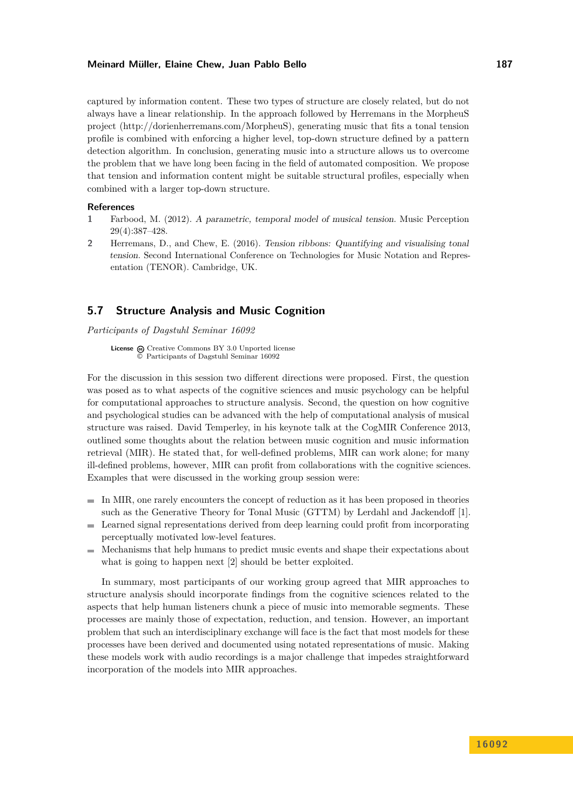captured by information content. These two types of structure are closely related, but do not always have a linear relationship. In the approach followed by Herremans in the MorpheuS project [\(http://dorienherremans.com/MorpheuS\)](http://dorienherremans.com/MorpheuS), generating music that fits a tonal tension profile is combined with enforcing a higher level, top-down structure defined by a pattern detection algorithm. In conclusion, generating music into a structure allows us to overcome the problem that we have long been facing in the field of automated composition. We propose that tension and information content might be suitable structural profiles, especially when combined with a larger top-down structure.

### **References**

- <span id="page-40-1"></span>**1** Farbood, M. (2012). A parametric, temporal model of musical tension. Music Perception 29(4):387–428.
- <span id="page-40-2"></span>**2** Herremans, D., and Chew, E. (2016). Tension ribbons: Quantifying and visualising tonal tension. Second International Conference on Technologies for Music Notation and Representation (TENOR). Cambridge, UK.

## <span id="page-40-0"></span>**5.7 Structure Analysis and Music Cognition**

*Participants of Dagstuhl Seminar 16092*

License  $\textcircled{a}$  [Creative Commons BY 3.0 Unported](http://creativecommons.org/licenses/by/3.0/) license © [Participants of Dagstuhl Seminar 16092](#page-40-0)

For the discussion in this session two different directions were proposed. First, the question was posed as to what aspects of the cognitive sciences and music psychology can be helpful for computational approaches to structure analysis. Second, the question on how cognitive and psychological studies can be advanced with the help of computational analysis of musical structure was raised. David Temperley, in his keynote talk at the CogMIR Conference 2013, outlined some thoughts about the relation between music cognition and music information retrieval (MIR). He stated that, for well-defined problems, MIR can work alone; for many ill-defined problems, however, MIR can profit from collaborations with the cognitive sciences. Examples that were discussed in the working group session were:

- In MIR, one rarely encounters the concept of reduction as it has been proposed in theories such as the Generative Theory for Tonal Music (GTTM) by Lerdahl and Jackendoff [\[1\]](#page-41-2).
- Learned signal representations derived from deep learning could profit from incorporating perceptually motivated low-level features.
- Mechanisms that help humans to predict music events and shape their expectations about  $\mathbf{r}$ what is going to happen next [\[2\]](#page-41-3) should be better exploited.

In summary, most participants of our working group agreed that MIR approaches to structure analysis should incorporate findings from the cognitive sciences related to the aspects that help human listeners chunk a piece of music into memorable segments. These processes are mainly those of expectation, reduction, and tension. However, an important problem that such an interdisciplinary exchange will face is the fact that most models for these processes have been derived and documented using notated representations of music. Making these models work with audio recordings is a major challenge that impedes straightforward incorporation of the models into MIR approaches.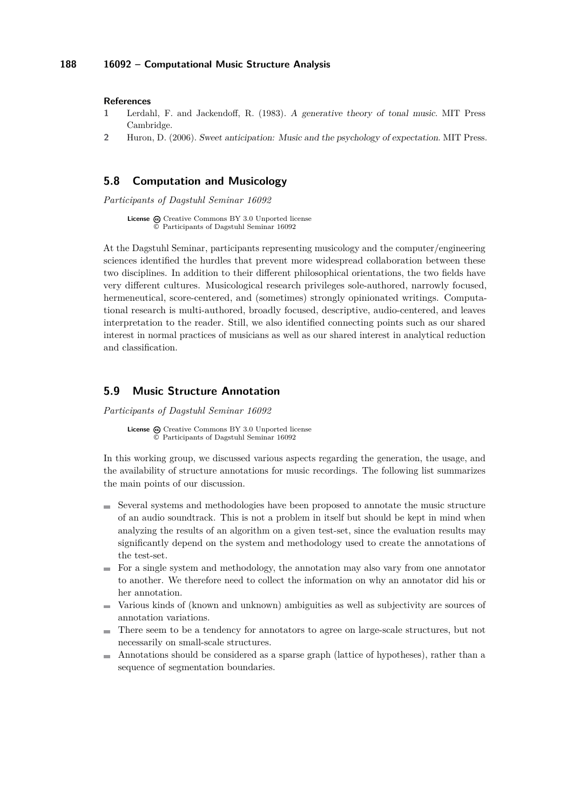### **References**

- <span id="page-41-2"></span>**1** Lerdahl, F. and Jackendoff, R. (1983). A generative theory of tonal music. MIT Press Cambridge.
- <span id="page-41-3"></span>**2** Huron, D. (2006). Sweet anticipation: Music and the psychology of expectation. MIT Press.

### <span id="page-41-0"></span>**5.8 Computation and Musicology**

*Participants of Dagstuhl Seminar 16092*

License  $\textcircled{c}$  [Creative Commons BY 3.0 Unported](http://creativecommons.org/licenses/by/3.0/) license © [Participants of Dagstuhl Seminar 16092](#page-41-0)

At the Dagstuhl Seminar, participants representing musicology and the computer/engineering sciences identified the hurdles that prevent more widespread collaboration between these two disciplines. In addition to their different philosophical orientations, the two fields have very different cultures. Musicological research privileges sole-authored, narrowly focused, hermeneutical, score-centered, and (sometimes) strongly opinionated writings. Computational research is multi-authored, broadly focused, descriptive, audio-centered, and leaves interpretation to the reader. Still, we also identified connecting points such as our shared interest in normal practices of musicians as well as our shared interest in analytical reduction and classification.

### <span id="page-41-1"></span>**5.9 Music Structure Annotation**

*Participants of Dagstuhl Seminar 16092*

License  $\textcircled{c}$  [Creative Commons BY 3.0 Unported](http://creativecommons.org/licenses/by/3.0/) license © [Participants of Dagstuhl Seminar 16092](#page-41-1)

In this working group, we discussed various aspects regarding the generation, the usage, and the availability of structure annotations for music recordings. The following list summarizes the main points of our discussion.

- $\blacksquare$  Several systems and methodologies have been proposed to annotate the music structure of an audio soundtrack. This is not a problem in itself but should be kept in mind when analyzing the results of an algorithm on a given test-set, since the evaluation results may significantly depend on the system and methodology used to create the annotations of the test-set.
- $\blacksquare$  For a single system and methodology, the annotation may also vary from one annotator to another. We therefore need to collect the information on why an annotator did his or her annotation.
- Various kinds of (known and unknown) ambiguities as well as subjectivity are sources of m. annotation variations.
- There seem to be a tendency for annotators to agree on large-scale structures, but not necessarily on small-scale structures.
- Annotations should be considered as a sparse graph (lattice of hypotheses), rather than a sequence of segmentation boundaries.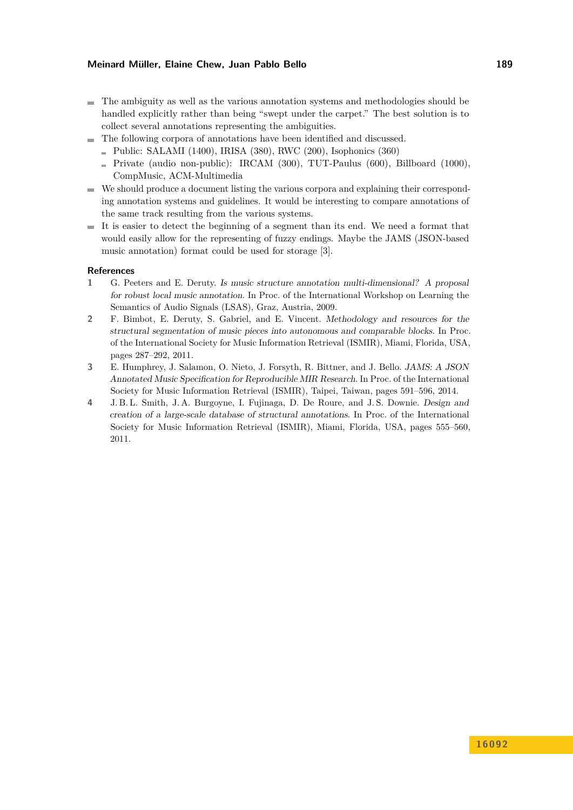- The ambiguity as well as the various annotation systems and methodologies should be handled explicitly rather than being "swept under the carpet." The best solution is to collect several annotations representing the ambiguities.
- The following corpora of annotations have been identified and discussed.
	- $\blacksquare$  Public: SALAMI (1400), IRISA (380), RWC (200), Isophonics (360)
	- Private (audio non-public): IRCAM  $(300)$ , TUT-Paulus  $(600)$ , Billboard  $(1000)$ , CompMusic, ACM-Multimedia
- We should produce a document listing the various corpora and explaining their corresponding annotation systems and guidelines. It would be interesting to compare annotations of the same track resulting from the various systems.
- $\blacksquare$  It is easier to detect the beginning of a segment than its end. We need a format that would easily allow for the representing of fuzzy endings. Maybe the JAMS (JSON-based music annotation) format could be used for storage [\[3\]](#page-42-0).

### **References**

- **1** G. Peeters and E. Deruty. Is music structure annotation multi-dimensional? A proposal for robust local music annotation. In Proc. of the International Workshop on Learning the Semantics of Audio Signals (LSAS), Graz, Austria, 2009.
- **2** F. Bimbot, E. Deruty, S. Gabriel, and E. Vincent. Methodology and resources for the structural segmentation of music pieces into autonomous and comparable blocks. In Proc. of the International Society for Music Information Retrieval (ISMIR), Miami, Florida, USA, pages 287–292, 2011.
- <span id="page-42-0"></span>**3** E. Humphrey, J. Salamon, O. Nieto, J. Forsyth, R. Bittner, and J. Bello. JAMS: A JSON Annotated Music Specification for Reproducible MIR Research. In Proc. of the International Society for Music Information Retrieval (ISMIR), Taipei, Taiwan, pages 591–596, 2014.
- **4** J. B. L. Smith, J. A. Burgoyne, I. Fujinaga, D. De Roure, and J. S. Downie. Design and creation of a large-scale database of structural annotations. In Proc. of the International Society for Music Information Retrieval (ISMIR), Miami, Florida, USA, pages 555–560, 2011.